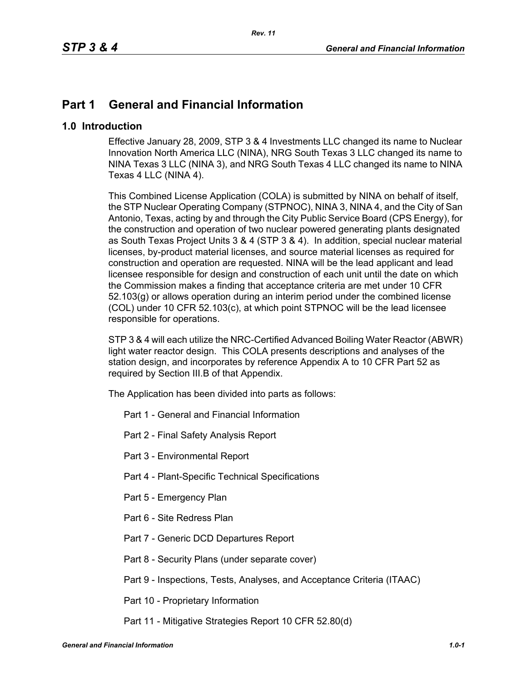## **Part 1 General and Financial Information**

## **1.0 Introduction**

Effective January 28, 2009, STP 3 & 4 Investments LLC changed its name to Nuclear Innovation North America LLC (NINA), NRG South Texas 3 LLC changed its name to NINA Texas 3 LLC (NINA 3), and NRG South Texas 4 LLC changed its name to NINA Texas 4 LLC (NINA 4).

This Combined License Application (COLA) is submitted by NINA on behalf of itself, the STP Nuclear Operating Company (STPNOC), NINA 3, NINA 4, and the City of San Antonio, Texas, acting by and through the City Public Service Board (CPS Energy), for the construction and operation of two nuclear powered generating plants designated as South Texas Project Units 3 & 4 (STP 3 & 4). In addition, special nuclear material licenses, by-product material licenses, and source material licenses as required for construction and operation are requested. NINA will be the lead applicant and lead licensee responsible for design and construction of each unit until the date on which the Commission makes a finding that acceptance criteria are met under 10 CFR 52.103(g) or allows operation during an interim period under the combined license (COL) under 10 CFR 52.103(c), at which point STPNOC will be the lead licensee responsible for operations.

STP 3 & 4 will each utilize the NRC-Certified Advanced Boiling Water Reactor (ABWR) light water reactor design. This COLA presents descriptions and analyses of the station design, and incorporates by reference Appendix A to 10 CFR Part 52 as required by Section III.B of that Appendix.

The Application has been divided into parts as follows:

- Part 1 General and Financial Information
- Part 2 Final Safety Analysis Report
- Part 3 Environmental Report
- Part 4 Plant-Specific Technical Specifications
- Part 5 Emergency Plan
- Part 6 Site Redress Plan
- Part 7 Generic DCD Departures Report
- Part 8 Security Plans (under separate cover)
- Part 9 Inspections, Tests, Analyses, and Acceptance Criteria (ITAAC)
- Part 10 Proprietary Information
- Part 11 Mitigative Strategies Report 10 CFR 52.80(d)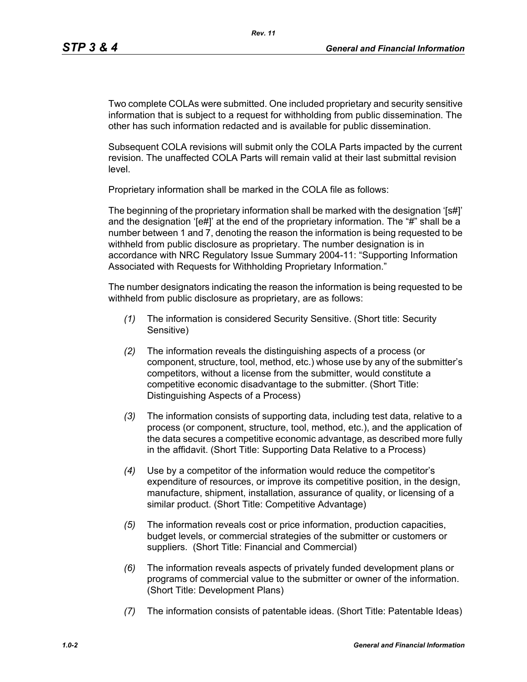Two complete COLAs were submitted. One included proprietary and security sensitive information that is subject to a request for withholding from public dissemination. The other has such information redacted and is available for public dissemination.

Subsequent COLA revisions will submit only the COLA Parts impacted by the current revision. The unaffected COLA Parts will remain valid at their last submittal revision level.

Proprietary information shall be marked in the COLA file as follows:

The beginning of the proprietary information shall be marked with the designation '[s#]' and the designation '[e#]' at the end of the proprietary information. The "#" shall be a number between 1 and 7, denoting the reason the information is being requested to be withheld from public disclosure as proprietary. The number designation is in accordance with NRC Regulatory Issue Summary 2004-11: "Supporting Information Associated with Requests for Withholding Proprietary Information."

The number designators indicating the reason the information is being requested to be withheld from public disclosure as proprietary, are as follows:

- *(1)* The information is considered Security Sensitive. (Short title: Security Sensitive)
- *(2)* The information reveals the distinguishing aspects of a process (or component, structure, tool, method, etc.) whose use by any of the submitter's competitors, without a license from the submitter, would constitute a competitive economic disadvantage to the submitter. (Short Title: Distinguishing Aspects of a Process)
- *(3)* The information consists of supporting data, including test data, relative to a process (or component, structure, tool, method, etc.), and the application of the data secures a competitive economic advantage, as described more fully in the affidavit. (Short Title: Supporting Data Relative to a Process)
- *(4)* Use by a competitor of the information would reduce the competitor's expenditure of resources, or improve its competitive position, in the design, manufacture, shipment, installation, assurance of quality, or licensing of a similar product. (Short Title: Competitive Advantage)
- *(5)* The information reveals cost or price information, production capacities, budget levels, or commercial strategies of the submitter or customers or suppliers. (Short Title: Financial and Commercial)
- *(6)* The information reveals aspects of privately funded development plans or programs of commercial value to the submitter or owner of the information. (Short Title: Development Plans)
- *(7)* The information consists of patentable ideas. (Short Title: Patentable Ideas)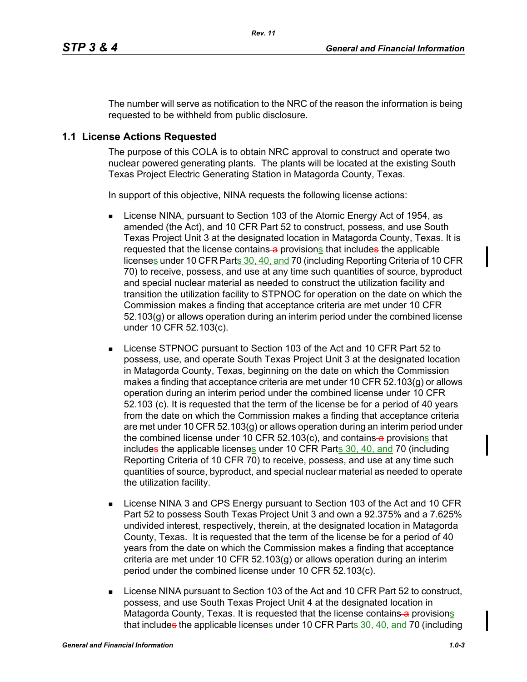The number will serve as notification to the NRC of the reason the information is being requested to be withheld from public disclosure.

## **1.1 License Actions Requested**

The purpose of this COLA is to obtain NRC approval to construct and operate two nuclear powered generating plants. The plants will be located at the existing South Texas Project Electric Generating Station in Matagorda County, Texas.

In support of this objective, NINA requests the following license actions:

- **License NINA, pursuant to Section 103 of the Atomic Energy Act of 1954, as** amended (the Act), and 10 CFR Part 52 to construct, possess, and use South Texas Project Unit 3 at the designated location in Matagorda County, Texas. It is requested that the license contains a provisions that includes the applicable licenses under 10 CFR Parts 30, 40, and 70 (including Reporting Criteria of 10 CFR 70) to receive, possess, and use at any time such quantities of source, byproduct and special nuclear material as needed to construct the utilization facility and transition the utilization facility to STPNOC for operation on the date on which the Commission makes a finding that acceptance criteria are met under 10 CFR 52.103(g) or allows operation during an interim period under the combined license under 10 CFR 52.103(c).
- **License STPNOC pursuant to Section 103 of the Act and 10 CFR Part 52 to** possess, use, and operate South Texas Project Unit 3 at the designated location in Matagorda County, Texas, beginning on the date on which the Commission makes a finding that acceptance criteria are met under 10 CFR  $52.103(q)$  or allows operation during an interim period under the combined license under 10 CFR 52.103 (c). It is requested that the term of the license be for a period of 40 years from the date on which the Commission makes a finding that acceptance criteria are met under 10 CFR 52.103(g) or allows operation during an interim period under the combined license under 10 CFR  $52.103(c)$ , and contains a provisions that includes the applicable licenses under 10 CFR Parts 30, 40, and 70 (including Reporting Criteria of 10 CFR 70) to receive, possess, and use at any time such quantities of source, byproduct, and special nuclear material as needed to operate the utilization facility.
- **EXECT:** License NINA 3 and CPS Energy pursuant to Section 103 of the Act and 10 CFR Part 52 to possess South Texas Project Unit 3 and own a 92.375% and a 7.625% undivided interest, respectively, therein, at the designated location in Matagorda County, Texas. It is requested that the term of the license be for a period of 40 years from the date on which the Commission makes a finding that acceptance criteria are met under 10 CFR 52.103(g) or allows operation during an interim period under the combined license under 10 CFR 52.103(c).
- **License NINA pursuant to Section 103 of the Act and 10 CFR Part 52 to construct,** possess, and use South Texas Project Unit 4 at the designated location in Matagorda County, Texas. It is requested that the license contains-a provisions that includes the applicable licenses under 10 CFR Parts 30, 40, and 70 (including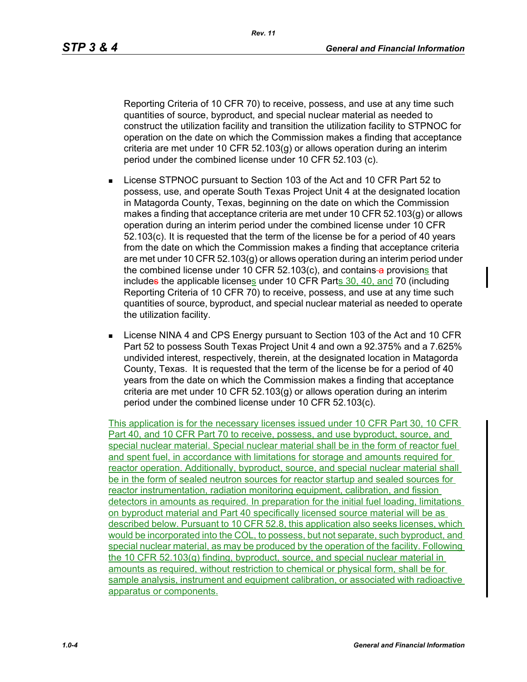Reporting Criteria of 10 CFR 70) to receive, possess, and use at any time such quantities of source, byproduct, and special nuclear material as needed to construct the utilization facility and transition the utilization facility to STPNOC for operation on the date on which the Commission makes a finding that acceptance criteria are met under 10 CFR 52.103(g) or allows operation during an interim period under the combined license under 10 CFR 52.103 (c).

- License STPNOC pursuant to Section 103 of the Act and 10 CFR Part 52 to possess, use, and operate South Texas Project Unit 4 at the designated location in Matagorda County, Texas, beginning on the date on which the Commission makes a finding that acceptance criteria are met under 10 CFR  $52.103(q)$  or allows operation during an interim period under the combined license under 10 CFR 52.103(c). It is requested that the term of the license be for a period of 40 years from the date on which the Commission makes a finding that acceptance criteria are met under 10 CFR 52.103(g) or allows operation during an interim period under the combined license under 10 CFR 52.103 $(c)$ , and contains a provisions that includes the applicable licenses under 10 CFR Parts 30, 40, and 70 (including Reporting Criteria of 10 CFR 70) to receive, possess, and use at any time such quantities of source, byproduct, and special nuclear material as needed to operate the utilization facility.
- **EXECT:** License NINA 4 and CPS Energy pursuant to Section 103 of the Act and 10 CFR Part 52 to possess South Texas Project Unit 4 and own a 92.375% and a 7.625% undivided interest, respectively, therein, at the designated location in Matagorda County, Texas. It is requested that the term of the license be for a period of 40 years from the date on which the Commission makes a finding that acceptance criteria are met under 10 CFR 52.103(g) or allows operation during an interim period under the combined license under 10 CFR 52.103(c).

This application is for the necessary licenses issued under 10 CFR Part 30, 10 CFR Part 40, and 10 CFR Part 70 to receive, possess, and use byproduct, source, and special nuclear material. Special nuclear material shall be in the form of reactor fuel and spent fuel, in accordance with limitations for storage and amounts required for reactor operation. Additionally, byproduct, source, and special nuclear material shall be in the form of sealed neutron sources for reactor startup and sealed sources for reactor instrumentation, radiation monitoring equipment, calibration, and fission detectors in amounts as required. In preparation for the initial fuel loading, limitations on byproduct material and Part 40 specifically licensed source material will be as described below. Pursuant to 10 CFR 52.8, this application also seeks licenses, which would be incorporated into the COL, to possess, but not separate, such byproduct, and special nuclear material, as may be produced by the operation of the facility. Following the 10 CFR 52.103(g) finding, byproduct, source, and special nuclear material in amounts as required, without restriction to chemical or physical form, shall be for sample analysis, instrument and equipment calibration, or associated with radioactive apparatus or components.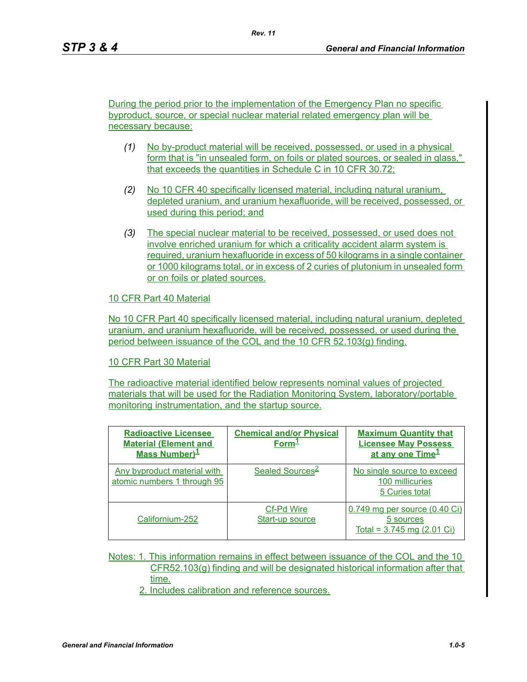During the period prior to the implementation of the Emergency Plan no specific byproduct, source, or special nuclear material related emergency plan will be necessary because:

*Rev. 11*

- *(1)* No by-product material will be received, possessed, or used in a physical form that is "in unsealed form, on foils or plated sources, or sealed in glass," that exceeds the quantities in Schedule C in 10 CFR 30.72;
- *(2)* No 10 CFR 40 specifically licensed material, including natural uranium, depleted uranium, and uranium hexafluoride, will be received, possessed, or used during this period; and
- *(3)* The special nuclear material to be received, possessed, or used does not involve enriched uranium for which a criticality accident alarm system is required, uranium hexafluoride in excess of 50 kilograms in a single container or 1000 kilograms total, or in excess of 2 curies of plutonium in unsealed form or on foils or plated sources.

#### 10 CFR Part 40 Material

No 10 CFR Part 40 specifically licensed material, including natural uranium, depleted uranium, and uranium hexafluoride, will be received, possessed, or used during the period between issuance of the COL and the 10 CFR 52.103(g) finding.

#### 10 CFR Part 30 Material

The radioactive material identified below represents nominal values of projected materials that will be used for the Radiation Monitoring System, laboratory/portable monitoring instrumentation, and the startup source.

| <b>Radioactive Licensee</b><br><b>Material (Element and</b><br>Mass Number) <sup>1</sup> | <b>Chemical and/or Physical</b><br>Form <sup>1</sup> | <b>Maximum Quantity that</b><br><b>Licensee May Possess</b><br>at any one Time <sup>1</sup> |
|------------------------------------------------------------------------------------------|------------------------------------------------------|---------------------------------------------------------------------------------------------|
| Any byproduct material with<br>atomic numbers 1 through 95                               | Sealed Sources <sup>2</sup>                          | No single source to exceed<br>100 millicuries<br>5 Curies total                             |
| Californium-252                                                                          | Cf-Pd Wire<br>Start-up source                        | $0.749$ mg per source $(0.40 \text{ Ci})$<br>5 sources<br>Total = $3.745$ mg (2.01 Ci)      |

Notes: 1. This information remains in effect between issuance of the COL and the 10 CFR52.103(g) finding and will be designated historical information after that time.

2. Includes calibration and reference sources.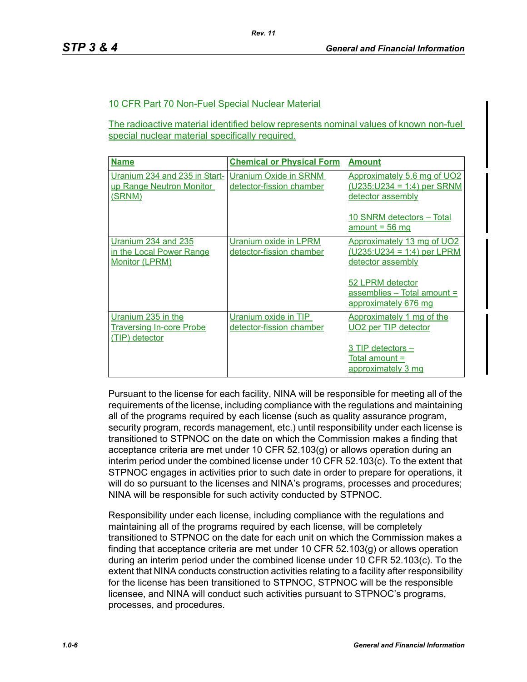### 10 CFR Part 70 Non-Fuel Special Nuclear Material

The radioactive material identified below represents nominal values of known non-fuel special nuclear material specifically required.

| <b>Name</b>                                                             | <b>Chemical or Physical Form</b>                  | <b>Amount</b>                                                                                                                                               |
|-------------------------------------------------------------------------|---------------------------------------------------|-------------------------------------------------------------------------------------------------------------------------------------------------------------|
| Uranium 234 and 235 in Start-<br>up Range Neutron Monitor<br>(SRNM)     | Uranium Oxide in SRNM<br>detector-fission chamber | Approximately 5.6 mg of UO2<br>$(U235:U234 = 1:4)$ per SRNM<br>detector assembly                                                                            |
|                                                                         |                                                   | 10 SNRM detectors - Total<br>$amount = 56 mg$                                                                                                               |
| Uranium 234 and 235<br>in the Local Power Range<br>Monitor (LPRM)       | Uranium oxide in LPRM<br>detector-fission chamber | Approximately 13 mg of UO2<br>$(U235:U234 = 1:4)$ per LPRM<br>detector assembly<br>52 LPRM detector<br>$assembles - Total amount =$<br>approximately 676 mg |
| Uranium 235 in the<br><b>Traversing In-core Probe</b><br>(TIP) detector | Uranium oxide in TIP<br>detector-fission chamber  | Approximately 1 mg of the<br>UO <sub>2</sub> per TIP detector<br>3 TIP detectors -<br>Total amount =<br>approximately 3 mg                                  |

Pursuant to the license for each facility, NINA will be responsible for meeting all of the requirements of the license, including compliance with the regulations and maintaining all of the programs required by each license (such as quality assurance program, security program, records management, etc.) until responsibility under each license is transitioned to STPNOC on the date on which the Commission makes a finding that acceptance criteria are met under 10 CFR 52.103(g) or allows operation during an interim period under the combined license under 10 CFR 52.103(c). To the extent that STPNOC engages in activities prior to such date in order to prepare for operations, it will do so pursuant to the licenses and NINA's programs, processes and procedures; NINA will be responsible for such activity conducted by STPNOC.

Responsibility under each license, including compliance with the regulations and maintaining all of the programs required by each license, will be completely transitioned to STPNOC on the date for each unit on which the Commission makes a finding that acceptance criteria are met under 10 CFR 52.103(g) or allows operation during an interim period under the combined license under 10 CFR 52.103(c). To the extent that NINA conducts construction activities relating to a facility after responsibility for the license has been transitioned to STPNOC, STPNOC will be the responsible licensee, and NINA will conduct such activities pursuant to STPNOC's programs, processes, and procedures.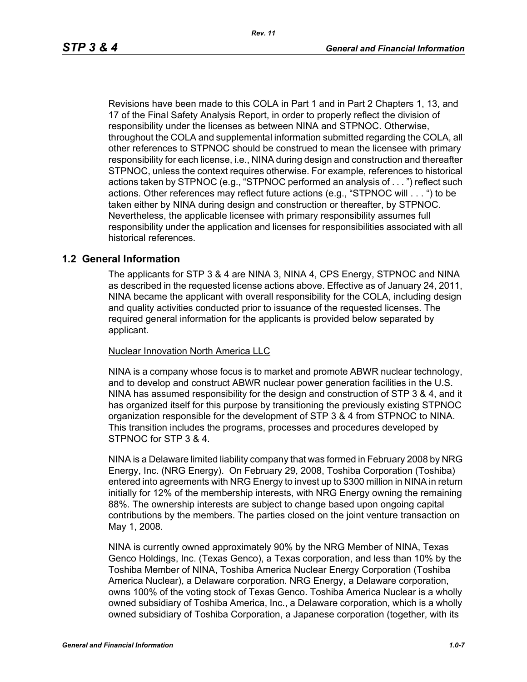Revisions have been made to this COLA in Part 1 and in Part 2 Chapters 1, 13, and 17 of the Final Safety Analysis Report, in order to properly reflect the division of responsibility under the licenses as between NINA and STPNOC. Otherwise, throughout the COLA and supplemental information submitted regarding the COLA, all other references to STPNOC should be construed to mean the licensee with primary responsibility for each license, i.e., NINA during design and construction and thereafter STPNOC, unless the context requires otherwise. For example, references to historical actions taken by STPNOC (e.g., "STPNOC performed an analysis of . . . ") reflect such actions. Other references may reflect future actions (e.g., "STPNOC will . . . ") to be taken either by NINA during design and construction or thereafter, by STPNOC. Nevertheless, the applicable licensee with primary responsibility assumes full responsibility under the application and licenses for responsibilities associated with all historical references.

#### **1.2 General Information**

The applicants for STP 3 & 4 are NINA 3, NINA 4, CPS Energy, STPNOC and NINA as described in the requested license actions above. Effective as of January 24, 2011, NINA became the applicant with overall responsibility for the COLA, including design and quality activities conducted prior to issuance of the requested licenses. The required general information for the applicants is provided below separated by applicant.

#### Nuclear Innovation North America LLC

NINA is a company whose focus is to market and promote ABWR nuclear technology, and to develop and construct ABWR nuclear power generation facilities in the U.S. NINA has assumed responsibility for the design and construction of STP 3 & 4, and it has organized itself for this purpose by transitioning the previously existing STPNOC organization responsible for the development of STP 3 & 4 from STPNOC to NINA. This transition includes the programs, processes and procedures developed by STPNOC for STP 3 & 4.

NINA is a Delaware limited liability company that was formed in February 2008 by NRG Energy, Inc. (NRG Energy). On February 29, 2008, Toshiba Corporation (Toshiba) entered into agreements with NRG Energy to invest up to \$300 million in NINA in return initially for 12% of the membership interests, with NRG Energy owning the remaining 88%. The ownership interests are subject to change based upon ongoing capital contributions by the members. The parties closed on the joint venture transaction on May 1, 2008.

NINA is currently owned approximately 90% by the NRG Member of NINA, Texas Genco Holdings, Inc. (Texas Genco), a Texas corporation, and less than 10% by the Toshiba Member of NINA, Toshiba America Nuclear Energy Corporation (Toshiba America Nuclear), a Delaware corporation. NRG Energy, a Delaware corporation, owns 100% of the voting stock of Texas Genco. Toshiba America Nuclear is a wholly owned subsidiary of Toshiba America, Inc., a Delaware corporation, which is a wholly owned subsidiary of Toshiba Corporation, a Japanese corporation (together, with its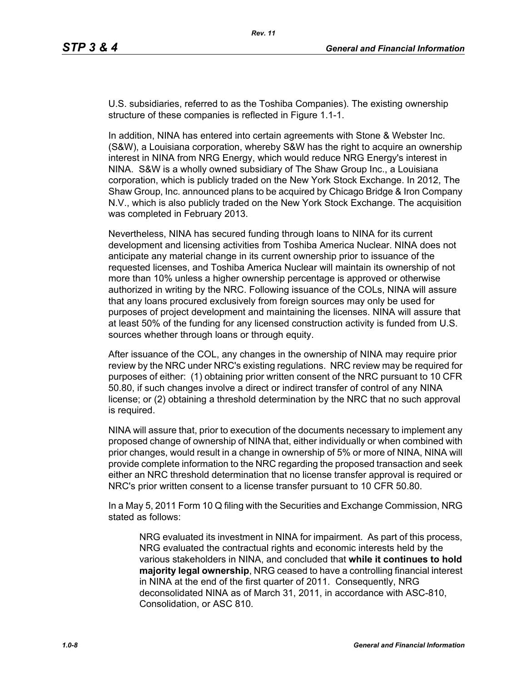U.S. subsidiaries, referred to as the Toshiba Companies). The existing ownership structure of these companies is reflected in Figure 1.1-1.

In addition, NINA has entered into certain agreements with Stone & Webster Inc. (S&W), a Louisiana corporation, whereby S&W has the right to acquire an ownership interest in NINA from NRG Energy, which would reduce NRG Energy's interest in NINA. S&W is a wholly owned subsidiary of The Shaw Group Inc., a Louisiana corporation, which is publicly traded on the New York Stock Exchange. In 2012, The Shaw Group, Inc. announced plans to be acquired by Chicago Bridge & Iron Company N.V., which is also publicly traded on the New York Stock Exchange. The acquisition was completed in February 2013.

Nevertheless, NINA has secured funding through loans to NINA for its current development and licensing activities from Toshiba America Nuclear. NINA does not anticipate any material change in its current ownership prior to issuance of the requested licenses, and Toshiba America Nuclear will maintain its ownership of not more than 10% unless a higher ownership percentage is approved or otherwise authorized in writing by the NRC. Following issuance of the COLs, NINA will assure that any loans procured exclusively from foreign sources may only be used for purposes of project development and maintaining the licenses. NINA will assure that at least 50% of the funding for any licensed construction activity is funded from U.S. sources whether through loans or through equity.

After issuance of the COL, any changes in the ownership of NINA may require prior review by the NRC under NRC's existing regulations. NRC review may be required for purposes of either: (1) obtaining prior written consent of the NRC pursuant to 10 CFR 50.80, if such changes involve a direct or indirect transfer of control of any NINA license; or (2) obtaining a threshold determination by the NRC that no such approval is required.

NINA will assure that, prior to execution of the documents necessary to implement any proposed change of ownership of NINA that, either individually or when combined with prior changes, would result in a change in ownership of 5% or more of NINA, NINA will provide complete information to the NRC regarding the proposed transaction and seek either an NRC threshold determination that no license transfer approval is required or NRC's prior written consent to a license transfer pursuant to 10 CFR 50.80.

In a May 5, 2011 Form 10 Q filing with the Securities and Exchange Commission, NRG stated as follows:

NRG evaluated its investment in NINA for impairment. As part of this process, NRG evaluated the contractual rights and economic interests held by the various stakeholders in NINA, and concluded that **while it continues to hold majority legal ownership**, NRG ceased to have a controlling financial interest in NINA at the end of the first quarter of 2011. Consequently, NRG deconsolidated NINA as of March 31, 2011, in accordance with ASC-810, Consolidation, or ASC 810.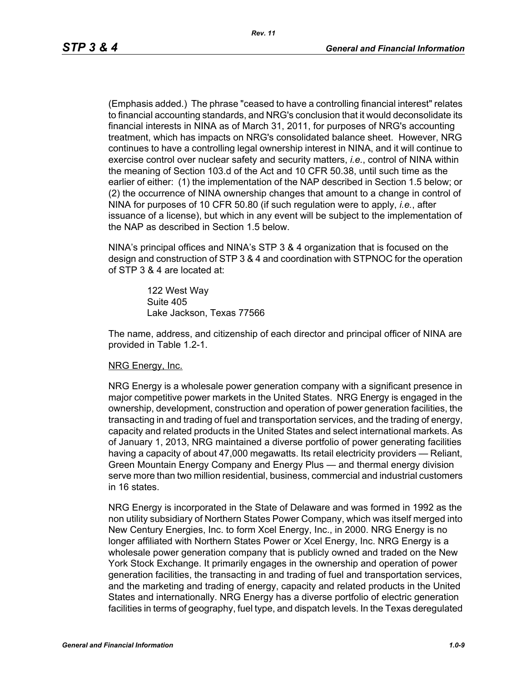(Emphasis added.) The phrase "ceased to have a controlling financial interest" relates to financial accounting standards, and NRG's conclusion that it would deconsolidate its financial interests in NINA as of March 31, 2011, for purposes of NRG's accounting treatment, which has impacts on NRG's consolidated balance sheet. However, NRG continues to have a controlling legal ownership interest in NINA, and it will continue to exercise control over nuclear safety and security matters, *i.e.*, control of NINA within the meaning of Section 103.d of the Act and 10 CFR 50.38, until such time as the earlier of either: (1) the implementation of the NAP described in Section 1.5 below; or (2) the occurrence of NINA ownership changes that amount to a change in control of NINA for purposes of 10 CFR 50.80 (if such regulation were to apply, *i.e.*, after issuance of a license), but which in any event will be subject to the implementation of the NAP as described in Section 1.5 below.

NINA's principal offices and NINA's STP 3 & 4 organization that is focused on the design and construction of STP 3 & 4 and coordination with STPNOC for the operation of STP 3 & 4 are located at:

> 122 West Way Suite 405 Lake Jackson, Texas 77566

The name, address, and citizenship of each director and principal officer of NINA are provided in Table 1.2-1.

#### NRG Energy, Inc.

NRG Energy is a wholesale power generation company with a significant presence in major competitive power markets in the United States. NRG Energy is engaged in the ownership, development, construction and operation of power generation facilities, the transacting in and trading of fuel and transportation services, and the trading of energy, capacity and related products in the United States and select international markets. As of January 1, 2013, NRG maintained a diverse portfolio of power generating facilities having a capacity of about 47,000 megawatts. Its retail electricity providers — Reliant, Green Mountain Energy Company and Energy Plus — and thermal energy division serve more than two million residential, business, commercial and industrial customers in 16 states.

NRG Energy is incorporated in the State of Delaware and was formed in 1992 as the non utility subsidiary of Northern States Power Company, which was itself merged into New Century Energies, Inc. to form Xcel Energy, Inc., in 2000. NRG Energy is no longer affiliated with Northern States Power or Xcel Energy, Inc. NRG Energy is a wholesale power generation company that is publicly owned and traded on the New York Stock Exchange. It primarily engages in the ownership and operation of power generation facilities, the transacting in and trading of fuel and transportation services, and the marketing and trading of energy, capacity and related products in the United States and internationally. NRG Energy has a diverse portfolio of electric generation facilities in terms of geography, fuel type, and dispatch levels. In the Texas deregulated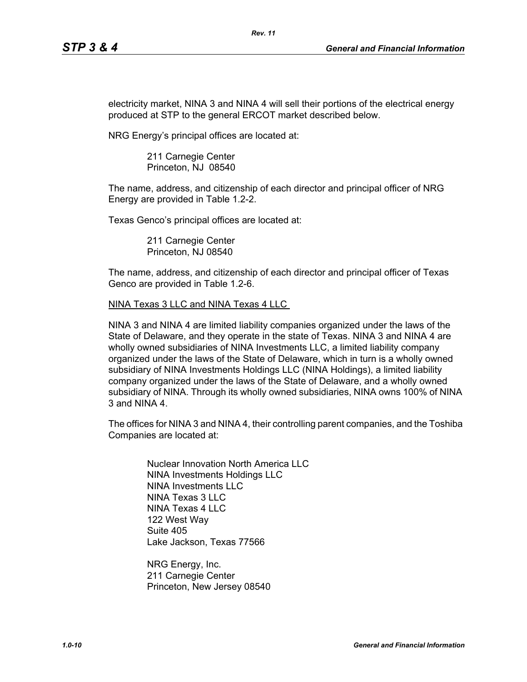electricity market, NINA 3 and NINA 4 will sell their portions of the electrical energy produced at STP to the general ERCOT market described below.

*Rev. 11*

NRG Energy's principal offices are located at:

211 Carnegie Center Princeton, NJ 08540

The name, address, and citizenship of each director and principal officer of NRG Energy are provided in Table 1.2-2.

Texas Genco's principal offices are located at:

211 Carnegie Center Princeton, NJ 08540

The name, address, and citizenship of each director and principal officer of Texas Genco are provided in Table 1.2-6.

NINA Texas 3 LLC and NINA Texas 4 LLC

NINA 3 and NINA 4 are limited liability companies organized under the laws of the State of Delaware, and they operate in the state of Texas. NINA 3 and NINA 4 are wholly owned subsidiaries of NINA Investments LLC, a limited liability company organized under the laws of the State of Delaware, which in turn is a wholly owned subsidiary of NINA Investments Holdings LLC (NINA Holdings), a limited liability company organized under the laws of the State of Delaware, and a wholly owned subsidiary of NINA. Through its wholly owned subsidiaries, NINA owns 100% of NINA 3 and NINA 4.

The offices for NINA 3 and NINA 4, their controlling parent companies, and the Toshiba Companies are located at:

Nuclear Innovation North America LLC NINA Investments Holdings LLC NINA Investments LLC NINA Texas 3 LLC NINA Texas 4 LLC 122 West Way Suite 405 Lake Jackson, Texas 77566

NRG Energy, Inc. 211 Carnegie Center Princeton, New Jersey 08540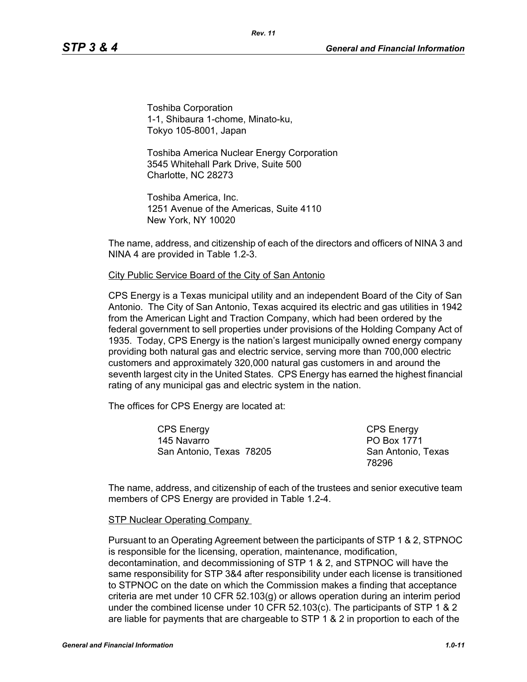Toshiba Corporation 1-1, Shibaura 1-chome, Minato-ku, Tokyo 105-8001, Japan

Toshiba America Nuclear Energy Corporation 3545 Whitehall Park Drive, Suite 500 Charlotte, NC 28273

Toshiba America, Inc. 1251 Avenue of the Americas, Suite 4110 New York, NY 10020

The name, address, and citizenship of each of the directors and officers of NINA 3 and NINA 4 are provided in Table 1.2-3.

#### City Public Service Board of the City of San Antonio

CPS Energy is a Texas municipal utility and an independent Board of the City of San Antonio. The City of San Antonio, Texas acquired its electric and gas utilities in 1942 from the American Light and Traction Company, which had been ordered by the federal government to sell properties under provisions of the Holding Company Act of 1935. Today, CPS Energy is the nation's largest municipally owned energy company providing both natural gas and electric service, serving more than 700,000 electric customers and approximately 320,000 natural gas customers in and around the seventh largest city in the United States. CPS Energy has earned the highest financial rating of any municipal gas and electric system in the nation.

The offices for CPS Energy are located at:

CPS Energy 145 Navarro San Antonio, Texas 78205

CPS Energy PO Box 1771 San Antonio, Texas 78296

The name, address, and citizenship of each of the trustees and senior executive team members of CPS Energy are provided in Table 1.2-4.

#### STP Nuclear Operating Company

Pursuant to an Operating Agreement between the participants of STP 1 & 2, STPNOC is responsible for the licensing, operation, maintenance, modification, decontamination, and decommissioning of STP 1 & 2, and STPNOC will have the same responsibility for STP 3&4 after responsibility under each license is transitioned to STPNOC on the date on which the Commission makes a finding that acceptance criteria are met under 10 CFR 52.103(g) or allows operation during an interim period under the combined license under 10 CFR 52.103(c). The participants of STP 1 & 2 are liable for payments that are chargeable to STP 1 & 2 in proportion to each of the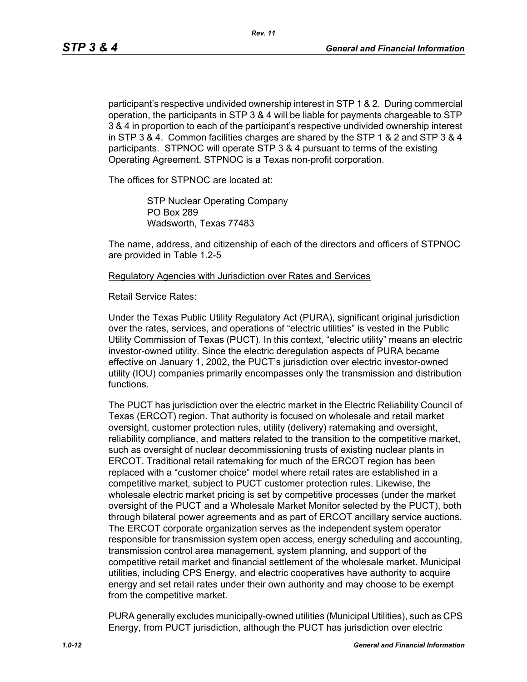participant's respective undivided ownership interest in STP 1 & 2. During commercial operation, the participants in STP 3 & 4 will be liable for payments chargeable to STP 3 & 4 in proportion to each of the participant's respective undivided ownership interest in STP 3 & 4. Common facilities charges are shared by the STP 1 & 2 and STP 3 & 4 participants. STPNOC will operate STP 3 & 4 pursuant to terms of the existing Operating Agreement. STPNOC is a Texas non-profit corporation.

The offices for STPNOC are located at:

STP Nuclear Operating Company PO Box 289 Wadsworth, Texas 77483

The name, address, and citizenship of each of the directors and officers of STPNOC are provided in Table 1.2-5

Regulatory Agencies with Jurisdiction over Rates and Services

Retail Service Rates:

Under the Texas Public Utility Regulatory Act (PURA), significant original jurisdiction over the rates, services, and operations of "electric utilities" is vested in the Public Utility Commission of Texas (PUCT). In this context, "electric utility" means an electric investor-owned utility. Since the electric deregulation aspects of PURA became effective on January 1, 2002, the PUCT's jurisdiction over electric investor-owned utility (IOU) companies primarily encompasses only the transmission and distribution functions.

The PUCT has jurisdiction over the electric market in the Electric Reliability Council of Texas (ERCOT) region. That authority is focused on wholesale and retail market oversight, customer protection rules, utility (delivery) ratemaking and oversight, reliability compliance, and matters related to the transition to the competitive market, such as oversight of nuclear decommissioning trusts of existing nuclear plants in ERCOT. Traditional retail ratemaking for much of the ERCOT region has been replaced with a "customer choice" model where retail rates are established in a competitive market, subject to PUCT customer protection rules. Likewise, the wholesale electric market pricing is set by competitive processes (under the market oversight of the PUCT and a Wholesale Market Monitor selected by the PUCT), both through bilateral power agreements and as part of ERCOT ancillary service auctions. The ERCOT corporate organization serves as the independent system operator responsible for transmission system open access, energy scheduling and accounting, transmission control area management, system planning, and support of the competitive retail market and financial settlement of the wholesale market. Municipal utilities, including CPS Energy, and electric cooperatives have authority to acquire energy and set retail rates under their own authority and may choose to be exempt from the competitive market.

PURA generally excludes municipally-owned utilities (Municipal Utilities), such as CPS Energy, from PUCT jurisdiction, although the PUCT has jurisdiction over electric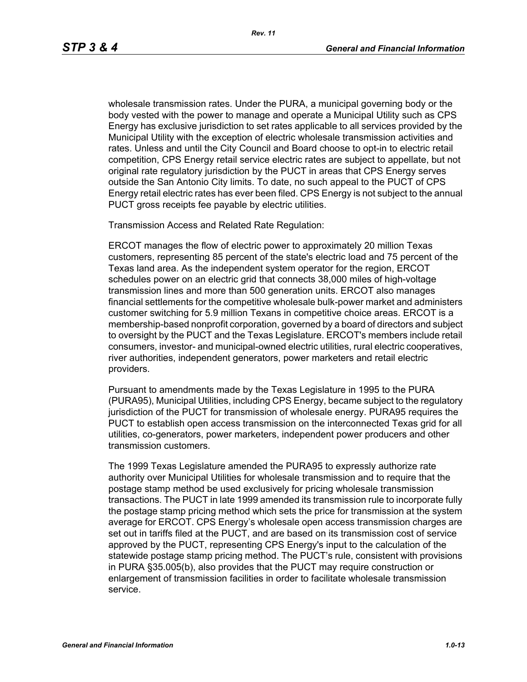wholesale transmission rates. Under the PURA, a municipal governing body or the body vested with the power to manage and operate a Municipal Utility such as CPS Energy has exclusive jurisdiction to set rates applicable to all services provided by the Municipal Utility with the exception of electric wholesale transmission activities and rates. Unless and until the City Council and Board choose to opt-in to electric retail competition, CPS Energy retail service electric rates are subject to appellate, but not original rate regulatory jurisdiction by the PUCT in areas that CPS Energy serves outside the San Antonio City limits. To date, no such appeal to the PUCT of CPS Energy retail electric rates has ever been filed. CPS Energy is not subject to the annual PUCT gross receipts fee payable by electric utilities.

Transmission Access and Related Rate Regulation:

ERCOT manages the flow of electric power to approximately 20 million Texas customers, representing 85 percent of the state's electric load and 75 percent of the Texas land area. As the independent system operator for the region, ERCOT schedules power on an electric grid that connects 38,000 miles of high-voltage transmission lines and more than 500 generation units. ERCOT also manages financial settlements for the competitive wholesale bulk-power market and administers customer switching for 5.9 million Texans in competitive choice areas. ERCOT is a membership-based nonprofit corporation, governed by a board of directors and subject to oversight by the PUCT and the Texas Legislature. ERCOT's members include retail consumers, investor- and municipal-owned electric utilities, rural electric cooperatives, river authorities, independent generators, power marketers and retail electric providers.

Pursuant to amendments made by the Texas Legislature in 1995 to the PURA (PURA95), Municipal Utilities, including CPS Energy, became subject to the regulatory jurisdiction of the PUCT for transmission of wholesale energy. PURA95 requires the PUCT to establish open access transmission on the interconnected Texas grid for all utilities, co-generators, power marketers, independent power producers and other transmission customers.

The 1999 Texas Legislature amended the PURA95 to expressly authorize rate authority over Municipal Utilities for wholesale transmission and to require that the postage stamp method be used exclusively for pricing wholesale transmission transactions. The PUCT in late 1999 amended its transmission rule to incorporate fully the postage stamp pricing method which sets the price for transmission at the system average for ERCOT. CPS Energy's wholesale open access transmission charges are set out in tariffs filed at the PUCT, and are based on its transmission cost of service approved by the PUCT, representing CPS Energy's input to the calculation of the statewide postage stamp pricing method. The PUCT's rule, consistent with provisions in PURA §35.005(b), also provides that the PUCT may require construction or enlargement of transmission facilities in order to facilitate wholesale transmission service.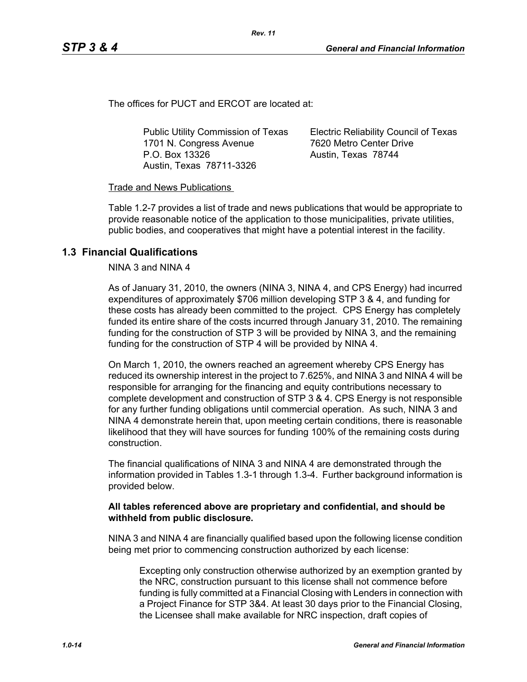The offices for PUCT and ERCOT are located at:

Public Utility Commission of Texas 1701 N. Congress Avenue P.O. Box 13326 Austin, Texas 78711-3326

Electric Reliability Council of Texas 7620 Metro Center Drive Austin, Texas 78744

#### Trade and News Publications

Table 1.2-7 provides a list of trade and news publications that would be appropriate to provide reasonable notice of the application to those municipalities, private utilities, public bodies, and cooperatives that might have a potential interest in the facility.

## **1.3 Financial Qualifications**

NINA 3 and NINA 4

As of January 31, 2010, the owners (NINA 3, NINA 4, and CPS Energy) had incurred expenditures of approximately \$706 million developing STP 3 & 4, and funding for these costs has already been committed to the project. CPS Energy has completely funded its entire share of the costs incurred through January 31, 2010. The remaining funding for the construction of STP 3 will be provided by NINA 3, and the remaining funding for the construction of STP 4 will be provided by NINA 4.

On March 1, 2010, the owners reached an agreement whereby CPS Energy has reduced its ownership interest in the project to 7.625%, and NINA 3 and NINA 4 will be responsible for arranging for the financing and equity contributions necessary to complete development and construction of STP 3 & 4. CPS Energy is not responsible for any further funding obligations until commercial operation. As such, NINA 3 and NINA 4 demonstrate herein that, upon meeting certain conditions, there is reasonable likelihood that they will have sources for funding 100% of the remaining costs during construction.

The financial qualifications of NINA 3 and NINA 4 are demonstrated through the information provided in Tables 1.3-1 through 1.3-4. Further background information is provided below.

#### **All tables referenced above are proprietary and confidential, and should be withheld from public disclosure.**

NINA 3 and NINA 4 are financially qualified based upon the following license condition being met prior to commencing construction authorized by each license:

Excepting only construction otherwise authorized by an exemption granted by the NRC, construction pursuant to this license shall not commence before funding is fully committed at a Financial Closing with Lenders in connection with a Project Finance for STP 3&4. At least 30 days prior to the Financial Closing, the Licensee shall make available for NRC inspection, draft copies of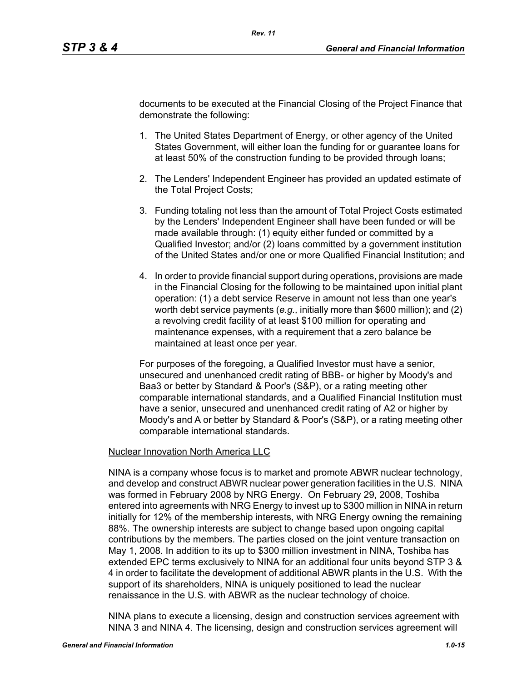documents to be executed at the Financial Closing of the Project Finance that demonstrate the following:

- 1. The United States Department of Energy, or other agency of the United States Government, will either loan the funding for or guarantee loans for at least 50% of the construction funding to be provided through loans;
- 2. The Lenders' Independent Engineer has provided an updated estimate of the Total Project Costs;
- 3. Funding totaling not less than the amount of Total Project Costs estimated by the Lenders' Independent Engineer shall have been funded or will be made available through: (1) equity either funded or committed by a Qualified Investor; and/or (2) loans committed by a government institution of the United States and/or one or more Qualified Financial Institution; and
- 4. In order to provide financial support during operations, provisions are made in the Financial Closing for the following to be maintained upon initial plant operation: (1) a debt service Reserve in amount not less than one year's worth debt service payments (*e.g.,* initially more than \$600 million); and (2) a revolving credit facility of at least \$100 million for operating and maintenance expenses, with a requirement that a zero balance be maintained at least once per year.

For purposes of the foregoing, a Qualified Investor must have a senior, unsecured and unenhanced credit rating of BBB- or higher by Moody's and Baa3 or better by Standard & Poor's (S&P), or a rating meeting other comparable international standards, and a Qualified Financial Institution must have a senior, unsecured and unenhanced credit rating of A2 or higher by Moody's and A or better by Standard & Poor's (S&P), or a rating meeting other comparable international standards.

#### Nuclear Innovation North America LLC

NINA is a company whose focus is to market and promote ABWR nuclear technology, and develop and construct ABWR nuclear power generation facilities in the U.S. NINA was formed in February 2008 by NRG Energy. On February 29, 2008, Toshiba entered into agreements with NRG Energy to invest up to \$300 million in NINA in return initially for 12% of the membership interests, with NRG Energy owning the remaining 88%. The ownership interests are subject to change based upon ongoing capital contributions by the members. The parties closed on the joint venture transaction on May 1, 2008. In addition to its up to \$300 million investment in NINA, Toshiba has extended EPC terms exclusively to NINA for an additional four units beyond STP 3 & 4 in order to facilitate the development of additional ABWR plants in the U.S. With the support of its shareholders, NINA is uniquely positioned to lead the nuclear renaissance in the U.S. with ABWR as the nuclear technology of choice.

NINA plans to execute a licensing, design and construction services agreement with NINA 3 and NINA 4. The licensing, design and construction services agreement will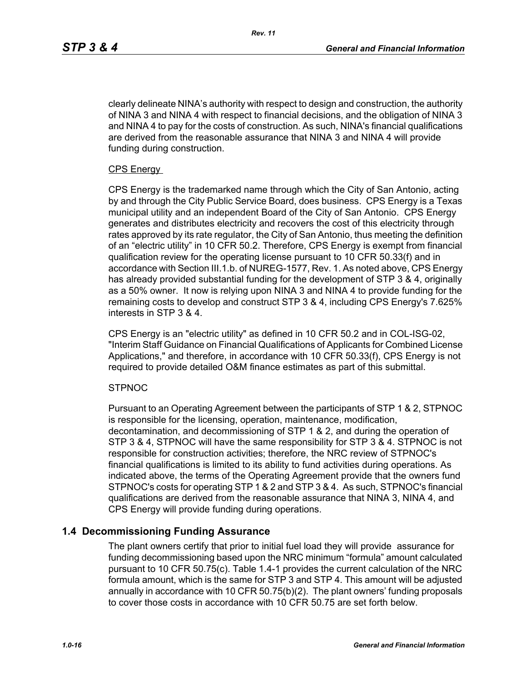clearly delineate NINA's authority with respect to design and construction, the authority of NINA 3 and NINA 4 with respect to financial decisions, and the obligation of NINA 3 and NINA 4 to pay for the costs of construction. As such, NINA's financial qualifications are derived from the reasonable assurance that NINA 3 and NINA 4 will provide funding during construction.

#### CPS Energy

CPS Energy is the trademarked name through which the City of San Antonio, acting by and through the City Public Service Board, does business. CPS Energy is a Texas municipal utility and an independent Board of the City of San Antonio. CPS Energy generates and distributes electricity and recovers the cost of this electricity through rates approved by its rate regulator, the City of San Antonio, thus meeting the definition of an "electric utility" in 10 CFR 50.2. Therefore, CPS Energy is exempt from financial qualification review for the operating license pursuant to 10 CFR 50.33(f) and in accordance with Section III.1.b. of NUREG-1577, Rev. 1. As noted above, CPS Energy has already provided substantial funding for the development of STP 3 & 4, originally as a 50% owner. It now is relying upon NINA 3 and NINA 4 to provide funding for the remaining costs to develop and construct STP 3 & 4, including CPS Energy's 7.625% interests in STP 3 & 4.

CPS Energy is an "electric utility" as defined in 10 CFR 50.2 and in COL-ISG-02, "Interim Staff Guidance on Financial Qualifications of Applicants for Combined License Applications," and therefore, in accordance with 10 CFR 50.33(f), CPS Energy is not required to provide detailed O&M finance estimates as part of this submittal.

#### **STPNOC**

Pursuant to an Operating Agreement between the participants of STP 1 & 2, STPNOC is responsible for the licensing, operation, maintenance, modification, decontamination, and decommissioning of STP 1 & 2, and during the operation of STP 3 & 4, STPNOC will have the same responsibility for STP 3 & 4. STPNOC is not responsible for construction activities; therefore, the NRC review of STPNOC's financial qualifications is limited to its ability to fund activities during operations. As indicated above, the terms of the Operating Agreement provide that the owners fund STPNOC's costs for operating STP 1 & 2 and STP 3 & 4. As such, STPNOC's financial qualifications are derived from the reasonable assurance that NINA 3, NINA 4, and CPS Energy will provide funding during operations.

## **1.4 Decommissioning Funding Assurance**

The plant owners certify that prior to initial fuel load they will provide assurance for funding decommissioning based upon the NRC minimum "formula" amount calculated pursuant to 10 CFR 50.75(c). Table 1.4-1 provides the current calculation of the NRC formula amount, which is the same for STP 3 and STP 4. This amount will be adjusted annually in accordance with 10 CFR 50.75(b)(2). The plant owners' funding proposals to cover those costs in accordance with 10 CFR 50.75 are set forth below.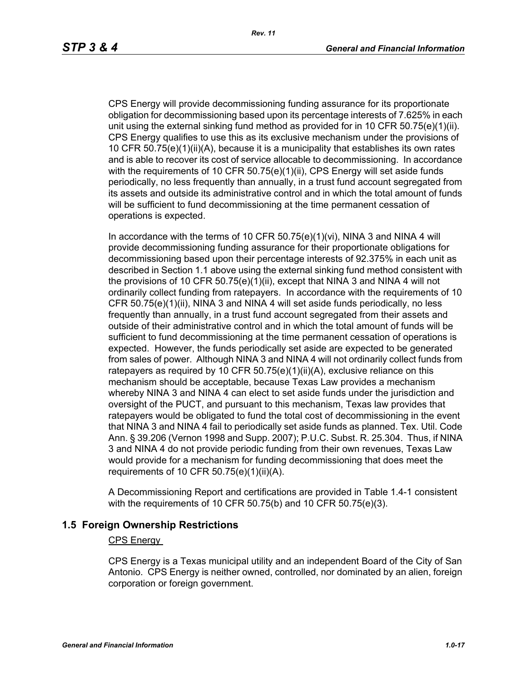CPS Energy will provide decommissioning funding assurance for its proportionate obligation for decommissioning based upon its percentage interests of 7.625% in each unit using the external sinking fund method as provided for in 10 CFR 50.75(e)(1)(ii). CPS Energy qualifies to use this as its exclusive mechanism under the provisions of 10 CFR 50.75(e)(1)(ii)(A), because it is a municipality that establishes its own rates and is able to recover its cost of service allocable to decommissioning. In accordance with the requirements of 10 CFR 50.75(e)(1)(ii), CPS Energy will set aside funds periodically, no less frequently than annually, in a trust fund account segregated from its assets and outside its administrative control and in which the total amount of funds will be sufficient to fund decommissioning at the time permanent cessation of operations is expected.

In accordance with the terms of 10 CFR 50.75(e)(1)(vi), NINA 3 and NINA 4 will provide decommissioning funding assurance for their proportionate obligations for decommissioning based upon their percentage interests of 92.375% in each unit as described in Section 1.1 above using the external sinking fund method consistent with the provisions of 10 CFR 50.75(e)(1)(ii), except that NINA 3 and NINA 4 will not ordinarily collect funding from ratepayers. In accordance with the requirements of 10 CFR 50.75(e)(1)(ii), NINA 3 and NINA 4 will set aside funds periodically, no less frequently than annually, in a trust fund account segregated from their assets and outside of their administrative control and in which the total amount of funds will be sufficient to fund decommissioning at the time permanent cessation of operations is expected. However, the funds periodically set aside are expected to be generated from sales of power. Although NINA 3 and NINA 4 will not ordinarily collect funds from ratepayers as required by 10 CFR  $50.75(e)(1)(ii)(A)$ , exclusive reliance on this mechanism should be acceptable, because Texas Law provides a mechanism whereby NINA 3 and NINA 4 can elect to set aside funds under the jurisdiction and oversight of the PUCT, and pursuant to this mechanism, Texas law provides that ratepayers would be obligated to fund the total cost of decommissioning in the event that NINA 3 and NINA 4 fail to periodically set aside funds as planned. Tex. Util. Code Ann. § 39.206 (Vernon 1998 and Supp. 2007); P.U.C. Subst. R. 25.304. Thus, if NINA 3 and NINA 4 do not provide periodic funding from their own revenues, Texas Law would provide for a mechanism for funding decommissioning that does meet the requirements of 10 CFR  $50.75(e)(1)(ii)(A)$ .

A Decommissioning Report and certifications are provided in Table 1.4-1 consistent with the requirements of 10 CFR 50.75(b) and 10 CFR 50.75(e)(3).

## **1.5 Foreign Ownership Restrictions**

#### CPS Energy

CPS Energy is a Texas municipal utility and an independent Board of the City of San Antonio. CPS Energy is neither owned, controlled, nor dominated by an alien, foreign corporation or foreign government.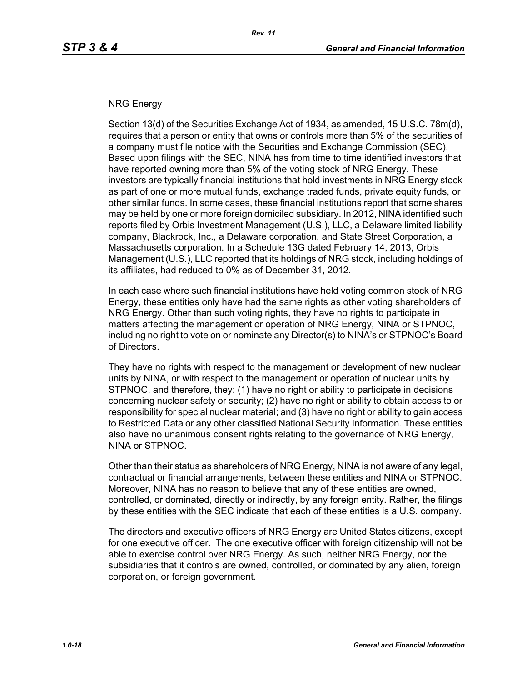#### NRG Energy

Section 13(d) of the Securities Exchange Act of 1934, as amended, 15 U.S.C. 78m(d), requires that a person or entity that owns or controls more than 5% of the securities of a company must file notice with the Securities and Exchange Commission (SEC). Based upon filings with the SEC, NINA has from time to time identified investors that have reported owning more than 5% of the voting stock of NRG Energy. These investors are typically financial institutions that hold investments in NRG Energy stock as part of one or more mutual funds, exchange traded funds, private equity funds, or other similar funds. In some cases, these financial institutions report that some shares may be held by one or more foreign domiciled subsidiary. In 2012, NINA identified such reports filed by Orbis Investment Management (U.S.), LLC, a Delaware limited liability company, Blackrock, Inc., a Delaware corporation, and State Street Corporation, a Massachusetts corporation. In a Schedule 13G dated February 14, 2013, Orbis Management (U.S.), LLC reported that its holdings of NRG stock, including holdings of its affiliates, had reduced to 0% as of December 31, 2012.

In each case where such financial institutions have held voting common stock of NRG Energy, these entities only have had the same rights as other voting shareholders of NRG Energy. Other than such voting rights, they have no rights to participate in matters affecting the management or operation of NRG Energy, NINA or STPNOC, including no right to vote on or nominate any Director(s) to NINA's or STPNOC's Board of Directors.

They have no rights with respect to the management or development of new nuclear units by NINA, or with respect to the management or operation of nuclear units by STPNOC, and therefore, they: (1) have no right or ability to participate in decisions concerning nuclear safety or security; (2) have no right or ability to obtain access to or responsibility for special nuclear material; and (3) have no right or ability to gain access to Restricted Data or any other classified National Security Information. These entities also have no unanimous consent rights relating to the governance of NRG Energy, NINA or STPNOC.

Other than their status as shareholders of NRG Energy, NINA is not aware of any legal, contractual or financial arrangements, between these entities and NINA or STPNOC. Moreover, NINA has no reason to believe that any of these entities are owned, controlled, or dominated, directly or indirectly, by any foreign entity. Rather, the filings by these entities with the SEC indicate that each of these entities is a U.S. company.

The directors and executive officers of NRG Energy are United States citizens, except for one executive officer. The one executive officer with foreign citizenship will not be able to exercise control over NRG Energy. As such, neither NRG Energy, nor the subsidiaries that it controls are owned, controlled, or dominated by any alien, foreign corporation, or foreign government.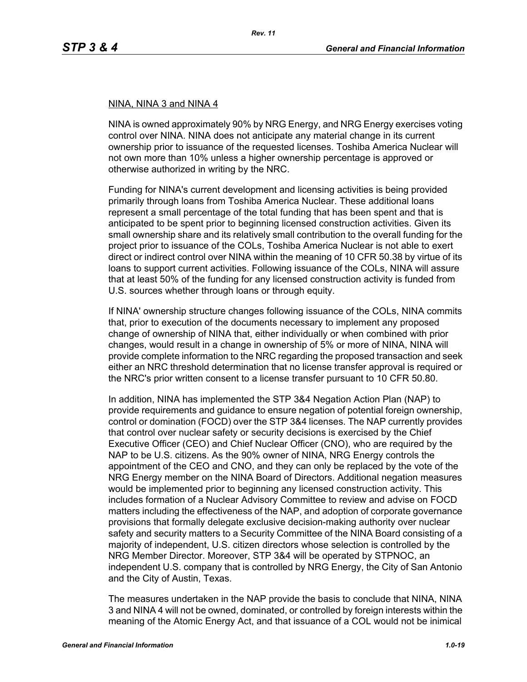#### NINA, NINA 3 and NINA 4

NINA is owned approximately 90% by NRG Energy, and NRG Energy exercises voting control over NINA. NINA does not anticipate any material change in its current ownership prior to issuance of the requested licenses. Toshiba America Nuclear will not own more than 10% unless a higher ownership percentage is approved or otherwise authorized in writing by the NRC.

Funding for NINA's current development and licensing activities is being provided primarily through loans from Toshiba America Nuclear. These additional loans represent a small percentage of the total funding that has been spent and that is anticipated to be spent prior to beginning licensed construction activities. Given its small ownership share and its relatively small contribution to the overall funding for the project prior to issuance of the COLs, Toshiba America Nuclear is not able to exert direct or indirect control over NINA within the meaning of 10 CFR 50.38 by virtue of its loans to support current activities. Following issuance of the COLs, NINA will assure that at least 50% of the funding for any licensed construction activity is funded from U.S. sources whether through loans or through equity.

If NINA' ownership structure changes following issuance of the COLs, NINA commits that, prior to execution of the documents necessary to implement any proposed change of ownership of NINA that, either individually or when combined with prior changes, would result in a change in ownership of 5% or more of NINA, NINA will provide complete information to the NRC regarding the proposed transaction and seek either an NRC threshold determination that no license transfer approval is required or the NRC's prior written consent to a license transfer pursuant to 10 CFR 50.80.

In addition, NINA has implemented the STP 3&4 Negation Action Plan (NAP) to provide requirements and guidance to ensure negation of potential foreign ownership, control or domination (FOCD) over the STP 3&4 licenses. The NAP currently provides that control over nuclear safety or security decisions is exercised by the Chief Executive Officer (CEO) and Chief Nuclear Officer (CNO), who are required by the NAP to be U.S. citizens. As the 90% owner of NINA, NRG Energy controls the appointment of the CEO and CNO, and they can only be replaced by the vote of the NRG Energy member on the NINA Board of Directors. Additional negation measures would be implemented prior to beginning any licensed construction activity. This includes formation of a Nuclear Advisory Committee to review and advise on FOCD matters including the effectiveness of the NAP, and adoption of corporate governance provisions that formally delegate exclusive decision-making authority over nuclear safety and security matters to a Security Committee of the NINA Board consisting of a majority of independent, U.S. citizen directors whose selection is controlled by the NRG Member Director. Moreover, STP 3&4 will be operated by STPNOC, an independent U.S. company that is controlled by NRG Energy, the City of San Antonio and the City of Austin, Texas.

The measures undertaken in the NAP provide the basis to conclude that NINA, NINA 3 and NINA 4 will not be owned, dominated, or controlled by foreign interests within the meaning of the Atomic Energy Act, and that issuance of a COL would not be inimical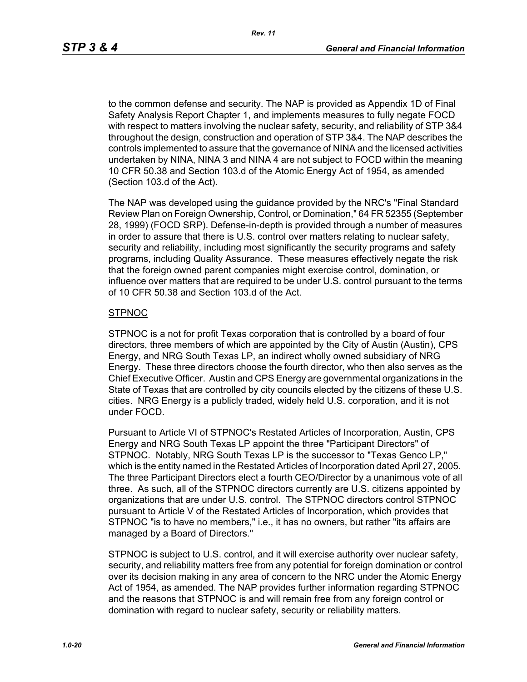to the common defense and security. The NAP is provided as Appendix 1D of Final Safety Analysis Report Chapter 1, and implements measures to fully negate FOCD with respect to matters involving the nuclear safety, security, and reliability of STP 3&4 throughout the design, construction and operation of STP 3&4. The NAP describes the controls implemented to assure that the governance of NINA and the licensed activities undertaken by NINA, NINA 3 and NINA 4 are not subject to FOCD within the meaning 10 CFR 50.38 and Section 103.d of the Atomic Energy Act of 1954, as amended (Section 103.d of the Act).

The NAP was developed using the guidance provided by the NRC's "Final Standard Review Plan on Foreign Ownership, Control, or Domination," 64 FR 52355 (September 28, 1999) (FOCD SRP). Defense-in-depth is provided through a number of measures in order to assure that there is U.S. control over matters relating to nuclear safety, security and reliability, including most significantly the security programs and safety programs, including Quality Assurance. These measures effectively negate the risk that the foreign owned parent companies might exercise control, domination, or influence over matters that are required to be under U.S. control pursuant to the terms of 10 CFR 50.38 and Section 103.d of the Act.

#### **STPNOC**

STPNOC is a not for profit Texas corporation that is controlled by a board of four directors, three members of which are appointed by the City of Austin (Austin), CPS Energy, and NRG South Texas LP, an indirect wholly owned subsidiary of NRG Energy. These three directors choose the fourth director, who then also serves as the Chief Executive Officer. Austin and CPS Energy are governmental organizations in the State of Texas that are controlled by city councils elected by the citizens of these U.S. cities. NRG Energy is a publicly traded, widely held U.S. corporation, and it is not under FOCD.

Pursuant to Article VI of STPNOC's Restated Articles of Incorporation, Austin, CPS Energy and NRG South Texas LP appoint the three "Participant Directors" of STPNOC. Notably, NRG South Texas LP is the successor to "Texas Genco LP," which is the entity named in the Restated Articles of Incorporation dated April 27, 2005. The three Participant Directors elect a fourth CEO/Director by a unanimous vote of all three. As such, all of the STPNOC directors currently are U.S. citizens appointed by organizations that are under U.S. control. The STPNOC directors control STPNOC pursuant to Article V of the Restated Articles of Incorporation, which provides that STPNOC "is to have no members," i.e., it has no owners, but rather "its affairs are managed by a Board of Directors."

STPNOC is subject to U.S. control, and it will exercise authority over nuclear safety, security, and reliability matters free from any potential for foreign domination or control over its decision making in any area of concern to the NRC under the Atomic Energy Act of 1954, as amended. The NAP provides further information regarding STPNOC and the reasons that STPNOC is and will remain free from any foreign control or domination with regard to nuclear safety, security or reliability matters.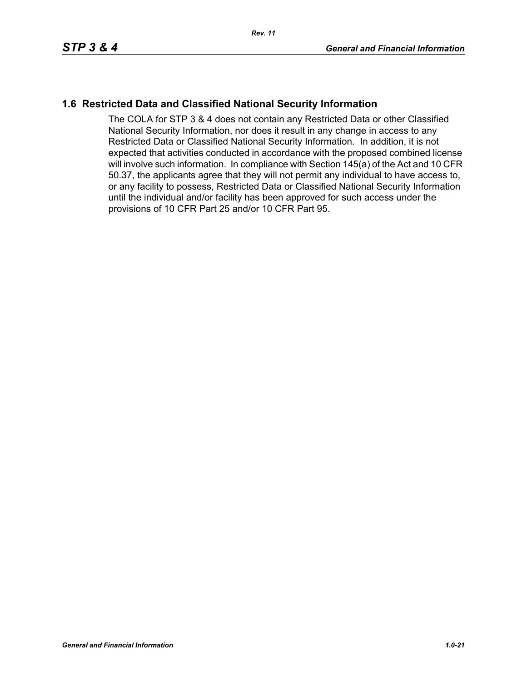## **1.6 Restricted Data and Classified National Security Information**

The COLA for STP 3 & 4 does not contain any Restricted Data or other Classified National Security Information, nor does it result in any change in access to any Restricted Data or Classified National Security Information. In addition, it is not expected that activities conducted in accordance with the proposed combined license will involve such information. In compliance with Section 145(a) of the Act and 10 CFR 50.37, the applicants agree that they will not permit any individual to have access to, or any facility to possess, Restricted Data or Classified National Security Information until the individual and/or facility has been approved for such access under the provisions of 10 CFR Part 25 and/or 10 CFR Part 95.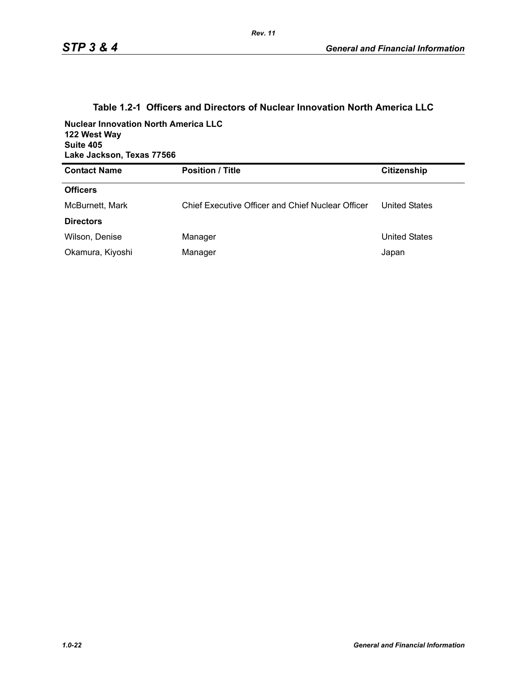| <b>Nuclear Innovation North America LLC</b><br>122 West Way<br>Suite 405<br>Lake Jackson, Texas 77566 |                                                   |                      |  |
|-------------------------------------------------------------------------------------------------------|---------------------------------------------------|----------------------|--|
| <b>Contact Name</b>                                                                                   | <b>Position / Title</b>                           | <b>Citizenship</b>   |  |
| <b>Officers</b>                                                                                       |                                                   |                      |  |
| McBurnett, Mark                                                                                       | Chief Executive Officer and Chief Nuclear Officer | <b>United States</b> |  |
| <b>Directors</b>                                                                                      |                                                   |                      |  |
| Wilson, Denise                                                                                        | Manager                                           | <b>United States</b> |  |
| Okamura, Kiyoshi                                                                                      | Manager                                           | Japan                |  |

## **Table 1.2-1 Officers and Directors of Nuclear Innovation North America LLC**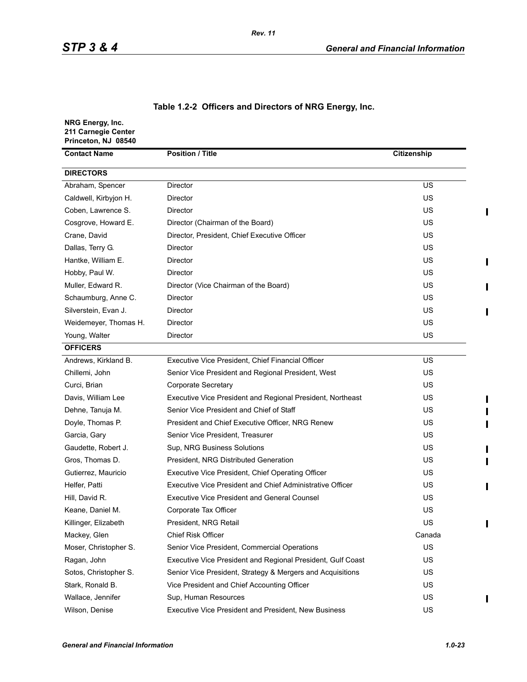## **Table 1.2-2 Officers and Directors of NRG Energy, Inc.**

| NRG Energy, Inc.<br>211 Carnegie Center<br>Princeton, NJ 08540 |                                                             |             |  |
|----------------------------------------------------------------|-------------------------------------------------------------|-------------|--|
| <b>Position / Title</b><br><b>Contact Name</b>                 |                                                             | Citizenship |  |
| <b>DIRECTORS</b>                                               |                                                             |             |  |
| Abraham, Spencer                                               | <b>Director</b>                                             | US          |  |
| Caldwell, Kirbyjon H.                                          | Director                                                    | US          |  |
| Coben, Lawrence S.                                             | Director                                                    | US          |  |
| Cosgrove, Howard E.                                            | Director (Chairman of the Board)                            | US          |  |
| Crane, David                                                   | Director, President, Chief Executive Officer                | US          |  |
| Dallas, Terry G.                                               | Director                                                    | US          |  |
| Hantke, William E.                                             | <b>Director</b>                                             | US          |  |
| Hobby, Paul W.                                                 | Director                                                    | US          |  |
| Muller, Edward R.                                              | Director (Vice Chairman of the Board)                       | US          |  |
| Schaumburg, Anne C.                                            | Director                                                    | US          |  |
| Silverstein, Evan J.                                           | <b>Director</b>                                             | US          |  |
| Weidemeyer, Thomas H.                                          | Director                                                    | US          |  |
| Young, Walter                                                  | Director                                                    | US          |  |
| <b>OFFICERS</b>                                                |                                                             |             |  |
| Andrews, Kirkland B.                                           | Executive Vice President, Chief Financial Officer           | US          |  |
| Chillemi, John                                                 | Senior Vice President and Regional President, West          | US          |  |
| Curci, Brian                                                   | <b>Corporate Secretary</b>                                  | US          |  |
| Davis, William Lee                                             | Executive Vice President and Regional President, Northeast  | US          |  |
| Dehne, Tanuja M.                                               | Senior Vice President and Chief of Staff                    | US          |  |
| Doyle, Thomas P.                                               | President and Chief Executive Officer, NRG Renew            | US          |  |
| Garcia, Gary                                                   | Senior Vice President, Treasurer                            | US          |  |
| Gaudette, Robert J.                                            | Sup, NRG Business Solutions                                 | US          |  |
| Gros, Thomas D.                                                | President, NRG Distributed Generation                       | US          |  |
| Gutierrez, Mauricio                                            | Executive Vice President, Chief Operating Officer           | US          |  |
| Helfer, Patti                                                  | Executive Vice President and Chief Administrative Officer   | US          |  |
| Hill. David R.                                                 | <b>Executive Vice President and General Counsel</b>         | US          |  |
| Keane, Daniel M.                                               | Corporate Tax Officer                                       | US          |  |
| Killinger, Elizabeth                                           | President, NRG Retail                                       | US          |  |
| Mackey, Glen                                                   | <b>Chief Risk Officer</b>                                   | Canada      |  |
| Moser, Christopher S.                                          | Senior Vice President, Commercial Operations                | US          |  |
| Ragan, John                                                    | Executive Vice President and Regional President, Gulf Coast | US          |  |
| Sotos, Christopher S.                                          | Senior Vice President, Strategy & Mergers and Acquisitions  | US          |  |
| Stark, Ronald B.                                               | Vice President and Chief Accounting Officer                 | US          |  |
| Wallace, Jennifer                                              | Sup, Human Resources                                        | US          |  |
| Wilson, Denise                                                 | Executive Vice President and President, New Business        | US          |  |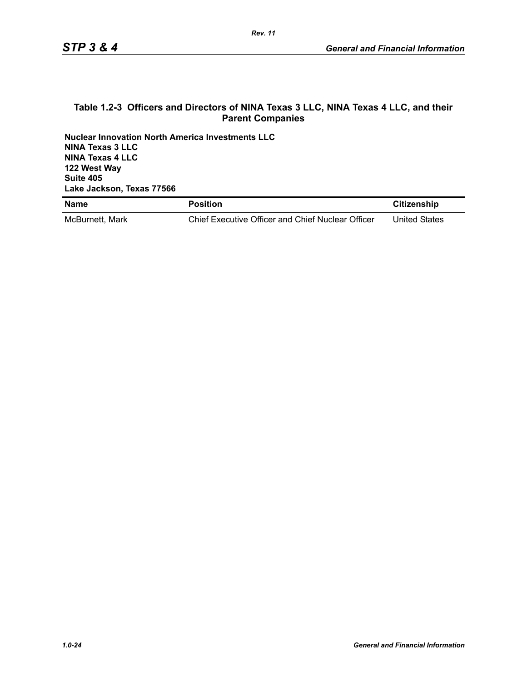#### **Table 1.2-3 Officers and Directors of NINA Texas 3 LLC, NINA Texas 4 LLC, and their Parent Companies**

**Nuclear Innovation North America Investments LLC NINA Texas 3 LLC NINA Texas 4 LLC 122 West Way Suite 405 Lake Jackson, Texas 77566**

| <b>Name</b>     | <b>Position</b>                                   | Citizenship          |
|-----------------|---------------------------------------------------|----------------------|
| McBurnett, Mark | Chief Executive Officer and Chief Nuclear Officer | <b>United States</b> |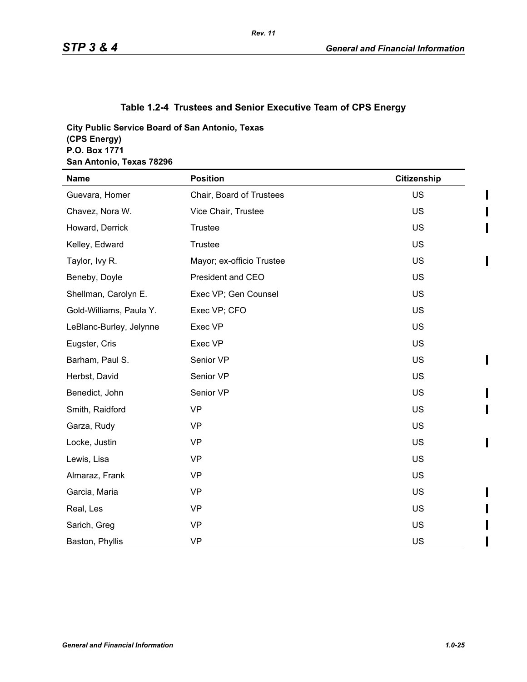I

ı

 $\mathbf I$ 

## **Table 1.2-4 Trustees and Senior Executive Team of CPS Energy**

**City Public Service Board of San Antonio, Texas (CPS Energy) P.O. Box 1771 San Antonio, Texas 78296**

| <b>Name</b>             | <b>Position</b>           | Citizenship |
|-------------------------|---------------------------|-------------|
| Guevara, Homer          | Chair, Board of Trustees  | <b>US</b>   |
| Chavez, Nora W.         | Vice Chair, Trustee       | US          |
| Howard, Derrick         | Trustee                   | US          |
| Kelley, Edward          | Trustee                   | US          |
| Taylor, Ivy R.          | Mayor; ex-officio Trustee | <b>US</b>   |
| Beneby, Doyle           | President and CEO         | US          |
| Shellman, Carolyn E.    | Exec VP; Gen Counsel      | US          |
| Gold-Williams, Paula Y. | Exec VP; CFO              | <b>US</b>   |
| LeBlanc-Burley, Jelynne | Exec VP                   | US          |
| Eugster, Cris           | Exec VP                   | US          |
| Barham, Paul S.         | Senior VP                 | <b>US</b>   |
| Herbst, David           | Senior VP                 | US          |
| Benedict, John          | Senior VP                 | US          |
| Smith, Raidford         | <b>VP</b>                 | US          |
| Garza, Rudy             | <b>VP</b>                 | US          |
| Locke, Justin           | <b>VP</b>                 | <b>US</b>   |
| Lewis, Lisa             | <b>VP</b>                 | US          |
| Almaraz, Frank          | <b>VP</b>                 | US          |
| Garcia, Maria           | <b>VP</b>                 | US          |
| Real, Les               | <b>VP</b>                 | US          |
| Sarich, Greg            | <b>VP</b>                 | <b>US</b>   |
| Baston, Phyllis         | <b>VP</b>                 | US          |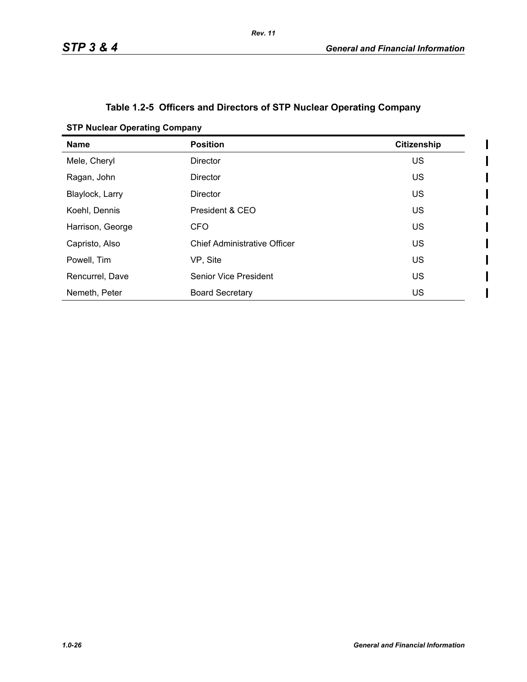$\mathbf I$  $\overline{\phantom{a}}$ 

## **Table 1.2-5 Officers and Directors of STP Nuclear Operating Company**

| <b>STP Nuclear Operating Company</b> |  |  |  |  |
|--------------------------------------|--|--|--|--|
|--------------------------------------|--|--|--|--|

| <b>Name</b>      | <b>Position</b>                     | <b>Citizenship</b> |
|------------------|-------------------------------------|--------------------|
| Mele, Cheryl     | <b>Director</b>                     | <b>US</b>          |
| Ragan, John      | <b>Director</b>                     | <b>US</b>          |
| Blaylock, Larry  | <b>Director</b>                     | US                 |
| Koehl, Dennis    | President & CEO                     | <b>US</b>          |
| Harrison, George | CFO                                 | <b>US</b>          |
| Capristo, Also   | <b>Chief Administrative Officer</b> | <b>US</b>          |
| Powell, Tim      | VP, Site                            | <b>US</b>          |
| Rencurrel, Dave  | <b>Senior Vice President</b>        | US                 |
| Nemeth, Peter    | <b>Board Secretary</b>              | US                 |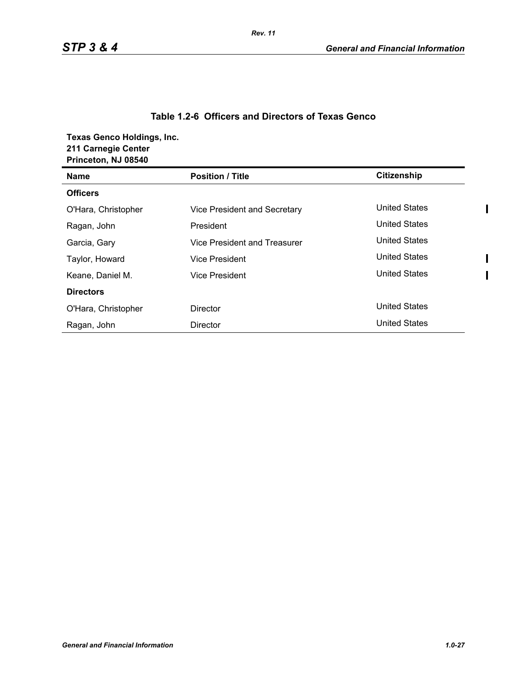## **Table 1.2-6 Officers and Directors of Texas Genco**

**Texas Genco Holdings, Inc. 211 Carnegie Center Princeton, NJ 08540**

| <b>Princeton, NJ 08540</b> |                              |                      |
|----------------------------|------------------------------|----------------------|
| <b>Name</b>                | <b>Position / Title</b>      | <b>Citizenship</b>   |
| <b>Officers</b>            |                              |                      |
| O'Hara, Christopher        | Vice President and Secretary | <b>United States</b> |
| Ragan, John                | President                    | <b>United States</b> |
| Garcia, Gary               | Vice President and Treasurer | <b>United States</b> |
| Taylor, Howard             | <b>Vice President</b>        | <b>United States</b> |
| Keane, Daniel M.           | <b>Vice President</b>        | <b>United States</b> |
| <b>Directors</b>           |                              |                      |
| O'Hara, Christopher        | <b>Director</b>              | <b>United States</b> |
| Ragan, John                | <b>Director</b>              | <b>United States</b> |

 $\blacksquare$ 

 $\blacksquare$  $\overline{\phantom{a}}$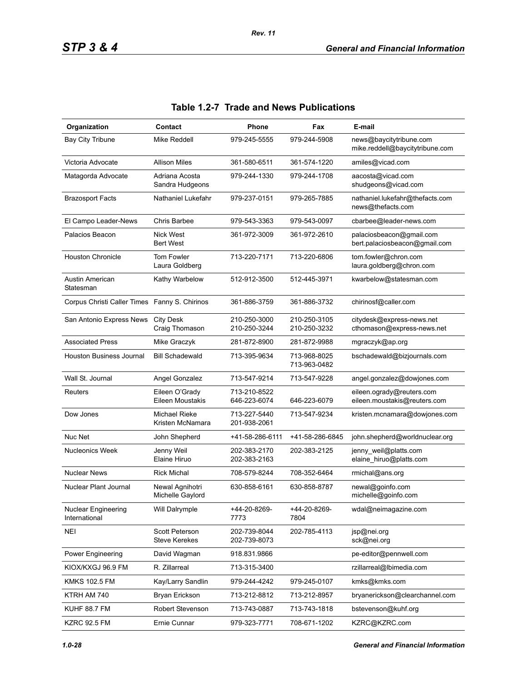| Organization                                  | Contact                                       | <b>Phone</b>                 | Fax                          | E-mail                                                     |
|-----------------------------------------------|-----------------------------------------------|------------------------------|------------------------------|------------------------------------------------------------|
| <b>Bay City Tribune</b>                       | Mike Reddell                                  | 979-245-5555                 | 979-244-5908                 | news@baycitytribune.com<br>mike.reddell@baycitytribune.com |
| Victoria Advocate                             | <b>Allison Miles</b>                          | 361-580-6511                 | 361-574-1220                 | amiles@vicad.com                                           |
| Matagorda Advocate                            | Adriana Acosta<br>Sandra Hudgeons             | 979-244-1330                 | 979-244-1708                 | aacosta@vicad.com<br>shudgeons@vicad.com                   |
| <b>Brazosport Facts</b>                       | Nathaniel Lukefahr                            | 979-237-0151                 | 979-265-7885                 | nathaniel.lukefahr@thefacts.com<br>news@thefacts.com       |
| El Campo Leader-News                          | Chris Barbee                                  | 979-543-3363                 | 979-543-0097                 | cbarbee@leader-news.com                                    |
| Palacios Beacon                               | <b>Nick West</b><br><b>Bert West</b>          | 361-972-3009                 | 361-972-2610                 | palaciosbeacon@gmail.com<br>bert palaciosbeacon@gmail.com  |
| <b>Houston Chronicle</b>                      | <b>Tom Fowler</b><br>Laura Goldberg           | 713-220-7171                 | 713-220-6806                 | tom.fowler@chron.com<br>laura.goldberg@chron.com           |
| Austin American<br>Statesman                  | Kathy Warbelow                                | 512-912-3500                 | 512-445-3971                 | kwarbelow@statesman.com                                    |
| Corpus Christi Caller Times Fanny S. Chirinos |                                               | 361-886-3759                 | 361-886-3732                 | chirinosf@caller.com                                       |
| San Antonio Express News                      | <b>City Desk</b><br>Craig Thomason            | 210-250-3000<br>210-250-3244 | 210-250-3105<br>210-250-3232 | citydesk@express-news.net<br>cthomason@express-news.net    |
| <b>Associated Press</b>                       | Mike Graczyk                                  | 281-872-8900                 | 281-872-9988                 | mgraczyk@ap.org                                            |
| Houston Business Journal                      | <b>Bill Schadewald</b>                        | 713-395-9634                 | 713-968-8025<br>713-963-0482 | bschadewald@bizjournals.com                                |
| Wall St. Journal                              | Angel Gonzalez                                | 713-547-9214                 | 713-547-9228                 | angel.gonzalez@dowjones.com                                |
| Reuters                                       | Eileen O'Grady<br>Eileen Moustakis            | 713-210-8522<br>646-223-6074 | 646-223-6079                 | eileen.ogrady@reuters.com<br>eileen.moustakis@reuters.com  |
| Dow Jones                                     | <b>Michael Rieke</b><br>Kristen McNamara      | 713-227-5440<br>201-938-2061 | 713-547-9234                 | kristen.mcnamara@dowjones.com                              |
| Nuc Net                                       | John Shepherd                                 | +41-58-286-6111              | +41-58-286-6845              | john.shepherd@worldnuclear.org                             |
| <b>Nucleonics Week</b>                        | Jenny Weil<br>Elaine Hiruo                    | 202-383-2170<br>202-383-2163 | 202-383-2125                 | jenny_weil@platts.com<br>elaine_hiruo@platts.com           |
| <b>Nuclear News</b>                           | <b>Rick Michal</b>                            | 708-579-8244                 | 708-352-6464                 | rmichal@ans.org                                            |
| Nuclear Plant Journal                         | Newal Agnihotri<br>Michelle Gaylord           | 630-858-6161                 | 630-858-8787                 | newal@goinfo.com<br>michelle@goinfo.com                    |
| <b>Nuclear Engineering</b><br>International   | Will Dalrymple                                | +44-20-8269-<br>7773         | +44-20-8269-<br>7804         | wdal@neimagazine.com                                       |
| <b>NEI</b>                                    | <b>Scott Peterson</b><br><b>Steve Kerekes</b> | 202-739-8044<br>202-739-8073 | 202-785-4113                 | jsp@nei.org<br>sck@nei.org                                 |
| Power Engineering                             | David Wagman                                  | 918.831.9866                 |                              | pe-editor@pennwell.com                                     |
| KIOX/KXGJ 96.9 FM                             | R. Zillarreal                                 | 713-315-3400                 |                              | rzillarreal@lbimedia.com                                   |
| <b>KMKS 102.5 FM</b>                          | Kay/Larry Sandlin                             | 979-244-4242                 | 979-245-0107                 | kmks@kmks.com                                              |
| KTRH AM 740                                   | Bryan Erickson                                | 713-212-8812                 | 713-212-8957                 | bryanerickson@clearchannel.com                             |
| <b>KUHF 88.7 FM</b>                           | <b>Robert Stevenson</b>                       | 713-743-0887                 | 713-743-1818                 | bstevenson@kuhf.org                                        |
| <b>KZRC 92.5 FM</b>                           | Ernie Cunnar                                  | 979-323-7771                 | 708-671-1202                 | KZRC@KZRC.com                                              |

## **Table 1.2-7 Trade and News Publications**

*Rev. 11*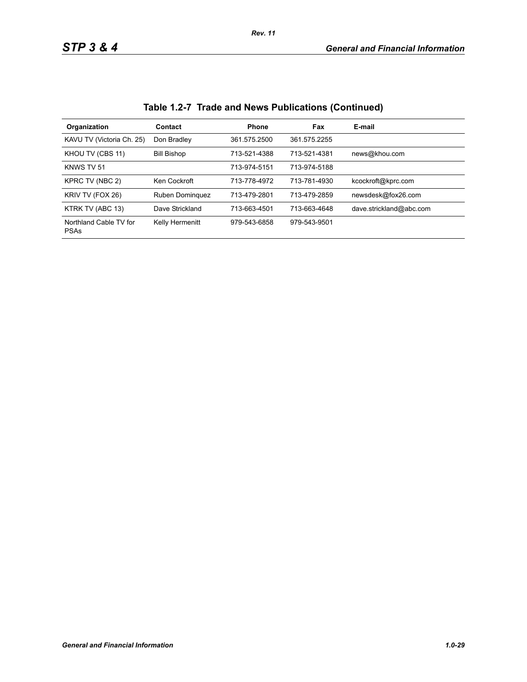| Organization                          | Contact            | <b>Phone</b> | Fax          | E-mail                  |
|---------------------------------------|--------------------|--------------|--------------|-------------------------|
| KAVU TV (Victoria Ch. 25)             | Don Bradley        | 361.575.2500 | 361.575.2255 |                         |
| KHOU TV (CBS 11)                      | <b>Bill Bishop</b> | 713-521-4388 | 713-521-4381 | news@khou.com           |
| KNWS TV 51                            |                    | 713-974-5151 | 713-974-5188 |                         |
| KPRC TV (NBC 2)                       | Ken Cockroft       | 713-778-4972 | 713-781-4930 | kcockroft@kprc.com      |
| KRIV TV (FOX 26)                      | Ruben Dominguez    | 713-479-2801 | 713-479-2859 | newsdesk@fox26.com      |
| KTRK TV (ABC 13)                      | Dave Strickland    | 713-663-4501 | 713-663-4648 | dave.strickland@abc.com |
| Northland Cable TV for<br><b>PSAs</b> | Kelly Hermenitt    | 979-543-6858 | 979-543-9501 |                         |

**Table 1.2-7 Trade and News Publications (Continued)**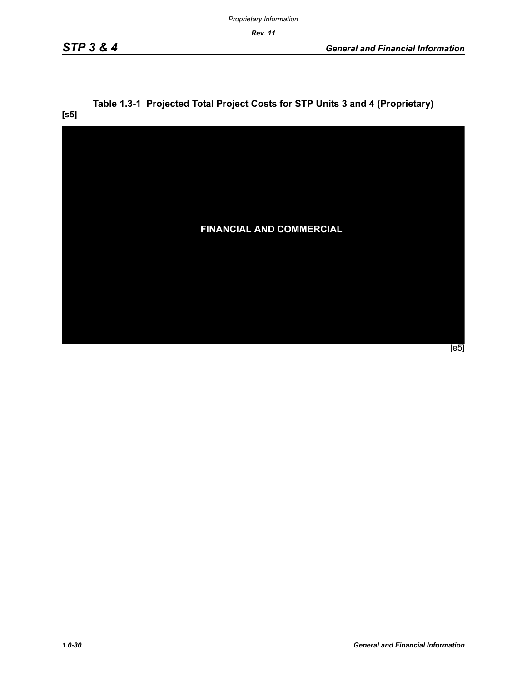**[s5]**

# **Table 1.3-1 Projected Total Project Costs for STP Units 3 and 4 (Proprietary)**

**FINANCIAL AND COMMERCIAL** [e5]

*1.0-30 General and Financial Information*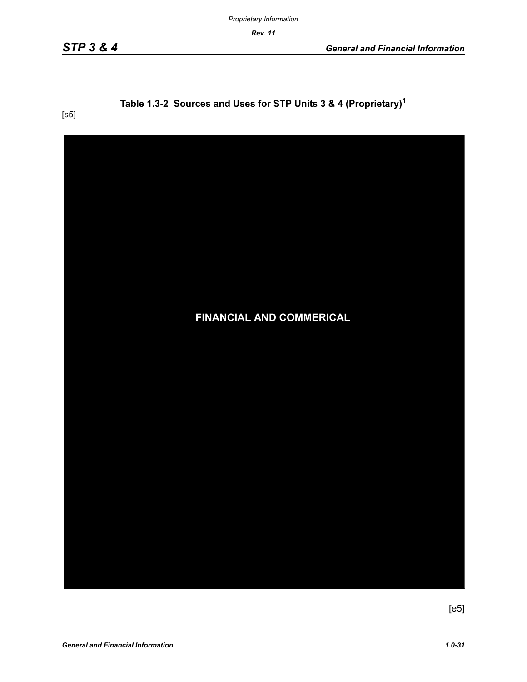## **Table 1.3-2 Sources and Uses for STP Units 3 & 4 (Proprietary)1**

[s5]



 $[e5]$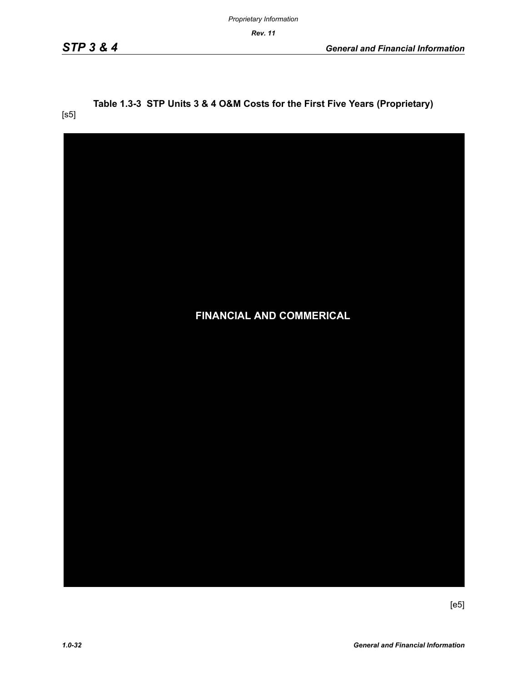#### **Table 1.3-3 STP Units 3 & 4 O&M Costs for the First Five Years (Proprietary)** [s5]

| <b>FINANCIAL AND COMMERICAL</b> |
|---------------------------------|
|                                 |
|                                 |
|                                 |
|                                 |

[e5]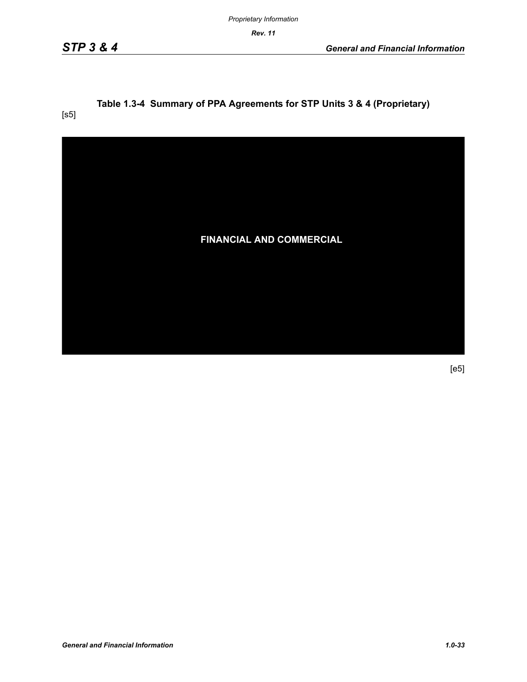*Proprietary Information*

*Rev. 11*

## **Table 1.3-4 Summary of PPA Agreements for STP Units 3 & 4 (Proprietary)**

[s5]



[e5]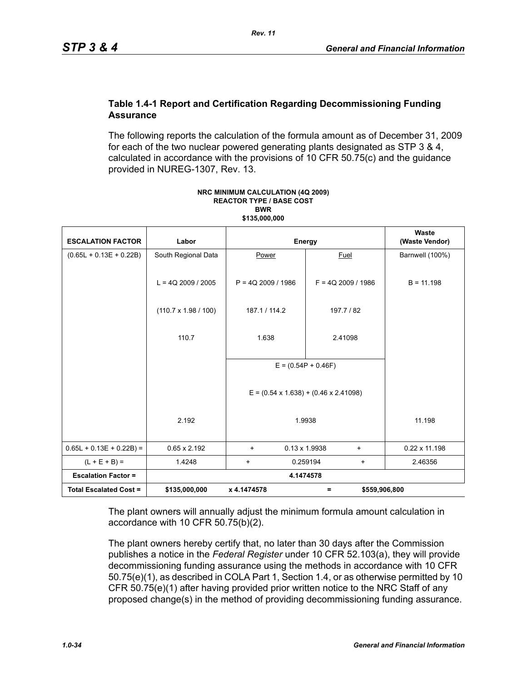#### **Table 1.4-1 Report and Certification Regarding Decommissioning Funding Assurance**

The following reports the calculation of the formula amount as of December 31, 2009 for each of the two nuclear powered generating plants designated as STP 3 & 4, calculated in accordance with the provisions of 10 CFR 50.75(c) and the guidance provided in NUREG-1307, Rev. 13.

| <b>ESCALATION FACTOR</b>      | Labor                       | Energy                                                      |                                   | Waste<br>(Waste Vendor) |
|-------------------------------|-----------------------------|-------------------------------------------------------------|-----------------------------------|-------------------------|
| $(0.65L + 0.13E + 0.22B)$     | South Regional Data         | Power                                                       | Fuel                              | Barnwell (100%)         |
|                               | $L = 4Q$ 2009 / 2005        | $P = 4Q$ 2009 / 1986                                        | $F = 4Q$ 2009 / 1986              | $B = 11.198$            |
|                               | $(110.7 \times 1.98 / 100)$ | 187.1 / 114.2                                               | 197.7 / 82                        |                         |
|                               | 110.7                       | 1.638                                                       | 2.41098                           |                         |
|                               |                             | $E = (0.54P + 0.46F)$                                       |                                   |                         |
|                               |                             | $E = (0.54 \times 1.638) + (0.46 \times 2.41098)$<br>1.9938 |                                   |                         |
|                               | 2.192                       |                                                             |                                   | 11.198                  |
| $0.65L + 0.13E + 0.22B$ =     | $0.65 \times 2.192$         | $\ddot{}$                                                   | $0.13 \times 1.9938$<br>$\ddot{}$ | $0.22 \times 11.198$    |
| $(L + E + B) =$               | 1.4248                      | $\ddot{}$                                                   | 0.259194<br>$\ddot{}$             | 2.46356                 |
| <b>Escalation Factor =</b>    | 4.1474578                   |                                                             |                                   |                         |
| <b>Total Escalated Cost =</b> | \$135,000,000               | x 4.1474578                                                 | \$559,906,800<br>Ξ                |                         |

#### **NRC MINIMUM CALCULATION (4Q 2009) REACTOR TYPE / BASE COST BWR \$135,000,000**

The plant owners will annually adjust the minimum formula amount calculation in accordance with 10 CFR 50.75(b)(2).

The plant owners hereby certify that, no later than 30 days after the Commission publishes a notice in the *Federal Register* under 10 CFR 52.103(a), they will provide decommissioning funding assurance using the methods in accordance with 10 CFR 50.75(e)(1), as described in COLA Part 1, Section 1.4, or as otherwise permitted by 10 CFR 50.75(e)(1) after having provided prior written notice to the NRC Staff of any proposed change(s) in the method of providing decommissioning funding assurance.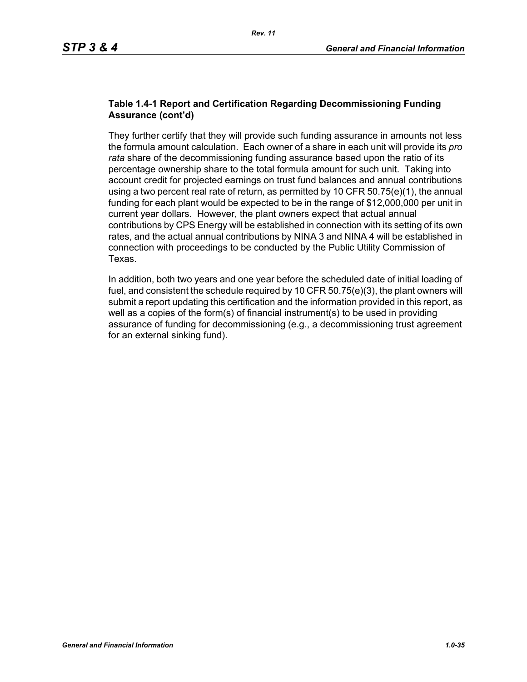#### **Table 1.4-1 Report and Certification Regarding Decommissioning Funding Assurance (cont'd)**

They further certify that they will provide such funding assurance in amounts not less the formula amount calculation. Each owner of a share in each unit will provide its *pro rata* share of the decommissioning funding assurance based upon the ratio of its percentage ownership share to the total formula amount for such unit. Taking into account credit for projected earnings on trust fund balances and annual contributions using a two percent real rate of return, as permitted by 10 CFR  $50.75(e)(1)$ , the annual funding for each plant would be expected to be in the range of \$12,000,000 per unit in current year dollars. However, the plant owners expect that actual annual contributions by CPS Energy will be established in connection with its setting of its own rates, and the actual annual contributions by NINA 3 and NINA 4 will be established in connection with proceedings to be conducted by the Public Utility Commission of Texas.

In addition, both two years and one year before the scheduled date of initial loading of fuel, and consistent the schedule required by 10 CFR 50.75(e)(3), the plant owners will submit a report updating this certification and the information provided in this report, as well as a copies of the form(s) of financial instrument(s) to be used in providing assurance of funding for decommissioning (e.g., a decommissioning trust agreement for an external sinking fund).